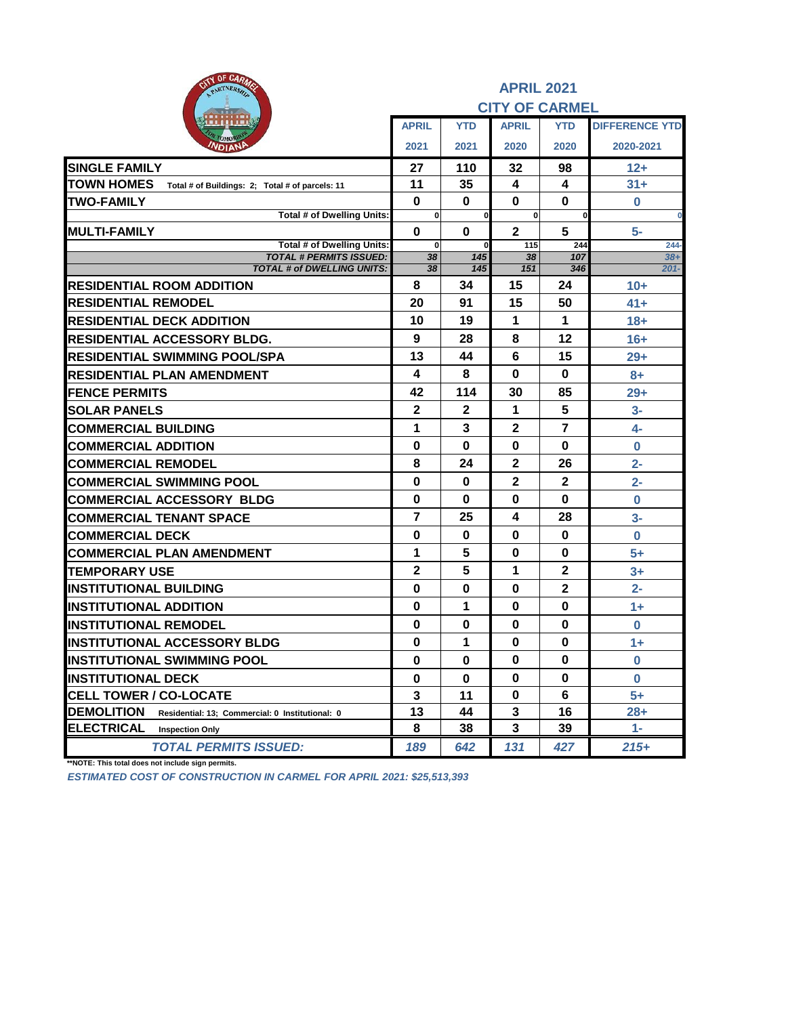| <b>AITY OF CARAZE</b><br>PARTNERSHIP                                 | <b>APRIL 2021</b><br><b>CITY OF CARMEL</b> |                            |                       |                |                       |  |  |
|----------------------------------------------------------------------|--------------------------------------------|----------------------------|-----------------------|----------------|-----------------------|--|--|
|                                                                      | <b>APRIL</b>                               | <b>YTD</b>                 | <b>APRIL</b>          | <b>YTD</b>     | <b>DIFFERENCE YTD</b> |  |  |
| <b>NDIANP</b>                                                        | 2021                                       | 2021                       | 2020                  | 2020           | 2020-2021             |  |  |
| <b>SINGLE FAMILY</b>                                                 | 27                                         | 110                        | 32                    | 98             | $12+$                 |  |  |
| <b>TOWN HOMES</b><br>Total # of Buildings: 2; Total # of parcels: 11 | 11                                         | 35                         | 4                     | 4              | $31+$                 |  |  |
| <b>TWO-FAMILY</b>                                                    | $\mathbf 0$                                | $\bf{0}$                   | $\bf{0}$              | $\bf{0}$       | $\bf{0}$              |  |  |
| Total # of Dwelling Units:                                           | $\mathbf{0}$                               | $\mathbf 0$                | $\mathbf{0}$          | $\bf{0}$       | $\bf{0}$              |  |  |
| <b>MULTI-FAMILY</b><br>Total # of Dwelling Units:                    | $\bf{0}$<br>$\mathbf{0}$                   | $\mathbf 0$<br>$\mathbf 0$ | $\overline{2}$<br>115 | 5<br>244       | $5-$<br>$244 -$       |  |  |
| <b>TOTAL # PERMITS ISSUED:</b>                                       | 38                                         | 145                        | 38                    | 107            | $38+$                 |  |  |
| <b>TOTAL # of DWELLING UNITS:</b>                                    | 38                                         | 145                        | 151                   | 346            | $201 -$               |  |  |
| <b>RESIDENTIAL ROOM ADDITION</b>                                     | 8                                          | 34                         | 15                    | 24             | $10+$                 |  |  |
| <b>RESIDENTIAL REMODEL</b>                                           | 20                                         | 91                         | 15                    | 50             | $41+$                 |  |  |
| <b>RESIDENTIAL DECK ADDITION</b>                                     | 10                                         | 19                         | 1                     | 1              | $18 +$                |  |  |
| <b>RESIDENTIAL ACCESSORY BLDG.</b>                                   | 9                                          | 28                         | 8                     | 12             | $16+$                 |  |  |
| RESIDENTIAL SWIMMING POOL/SPA                                        | 13                                         | 44                         | 6                     | 15             | $29+$                 |  |  |
| <b>RESIDENTIAL PLAN AMENDMENT</b>                                    | 4                                          | 8                          | $\bf{0}$              | $\bf{0}$       | $8+$                  |  |  |
| <b>FENCE PERMITS</b>                                                 | 42                                         | 114                        | 30                    | 85             | $29+$                 |  |  |
| <b>SOLAR PANELS</b>                                                  | $\mathbf{2}$                               | $\mathbf{2}$               | 1                     | 5              | $3-$                  |  |  |
| <b>COMMERCIAL BUILDING</b>                                           | 1                                          | 3                          | 2                     | $\overline{7}$ | $4-$                  |  |  |
| <b>COMMERCIAL ADDITION</b>                                           | 0                                          | $\bf{0}$                   | 0                     | 0              | $\bf{0}$              |  |  |
| <b>COMMERCIAL REMODEL</b>                                            | 8                                          | 24                         | $\mathbf{2}$          | 26             | $2 -$                 |  |  |
| <b>COMMERCIAL SWIMMING POOL</b>                                      | $\bf{0}$                                   | 0                          | $\mathbf{2}$          | $\mathbf{2}$   | $2 -$                 |  |  |
| <b>COMMERCIAL ACCESSORY BLDG</b>                                     | $\bf{0}$                                   | 0                          | 0                     | 0              | $\bf{0}$              |  |  |
| <b>COMMERCIAL TENANT SPACE</b>                                       | $\overline{7}$                             | 25                         | 4                     | 28             | $3-$                  |  |  |
| <b>COMMERCIAL DECK</b>                                               | $\bf{0}$                                   | 0                          | $\bf{0}$              | $\bf{0}$       | $\bf{0}$              |  |  |
| <b>COMMERCIAL PLAN AMENDMENT</b>                                     | 1                                          | 5                          | $\bf{0}$              | $\bf{0}$       | $5+$                  |  |  |
| <b>TEMPORARY USE</b>                                                 | $\overline{2}$                             | 5                          | 1                     | $\overline{2}$ | $3+$                  |  |  |
| <b>INSTITUTIONAL BUILDING</b>                                        | $\bf{0}$                                   | $\bf{0}$                   | $\bf{0}$              | $\mathbf{2}$   | $2 -$                 |  |  |
| <b>INSTITUTIONAL ADDITION</b>                                        | $\bf{0}$                                   | 1                          | 0                     | $\bf{0}$       | $1+$                  |  |  |
| <b>INSTITUTIONAL REMODEL</b>                                         | $\bf{0}$                                   | 0                          | 0                     | $\bf{0}$       | $\bf{0}$              |  |  |
| <b>INSTITUTIONAL ACCESSORY BLDG</b>                                  | 0                                          | 1                          | $\bf{0}$              | $\bf{0}$       | $1+$                  |  |  |
| INSTITUTIONAL SWIMMING POOL                                          | $\bf{0}$                                   | 0                          | $\bf{0}$              | 0              | 0                     |  |  |
| <b>INSTITUTIONAL DECK</b>                                            | 0                                          | $\mathbf 0$                | $\bf{0}$              | $\bf{0}$       | $\bf{0}$              |  |  |
| <b>CELL TOWER / CO-LOCATE</b>                                        | $\overline{\mathbf{3}}$                    | 11                         | $\bf{0}$              | 6              | $5+$                  |  |  |
| <b>DEMOLITION</b><br>Residential: 13; Commercial: 0 Institutional: 0 | 13                                         | 44                         | 3                     | 16             | $28 +$                |  |  |
| <b>ELECTRICAL</b><br><b>Inspection Only</b>                          | 8                                          | 38                         | 3                     | 39             | $1 -$                 |  |  |
| <b>TOTAL PERMITS ISSUED:</b>                                         | 189                                        | 642                        | 131                   | 427            | $215+$                |  |  |

**\*\*NOTE: This total does not include sign permits.**

*ESTIMATED COST OF CONSTRUCTION IN CARMEL FOR APRIL 2021: \$25,513,393*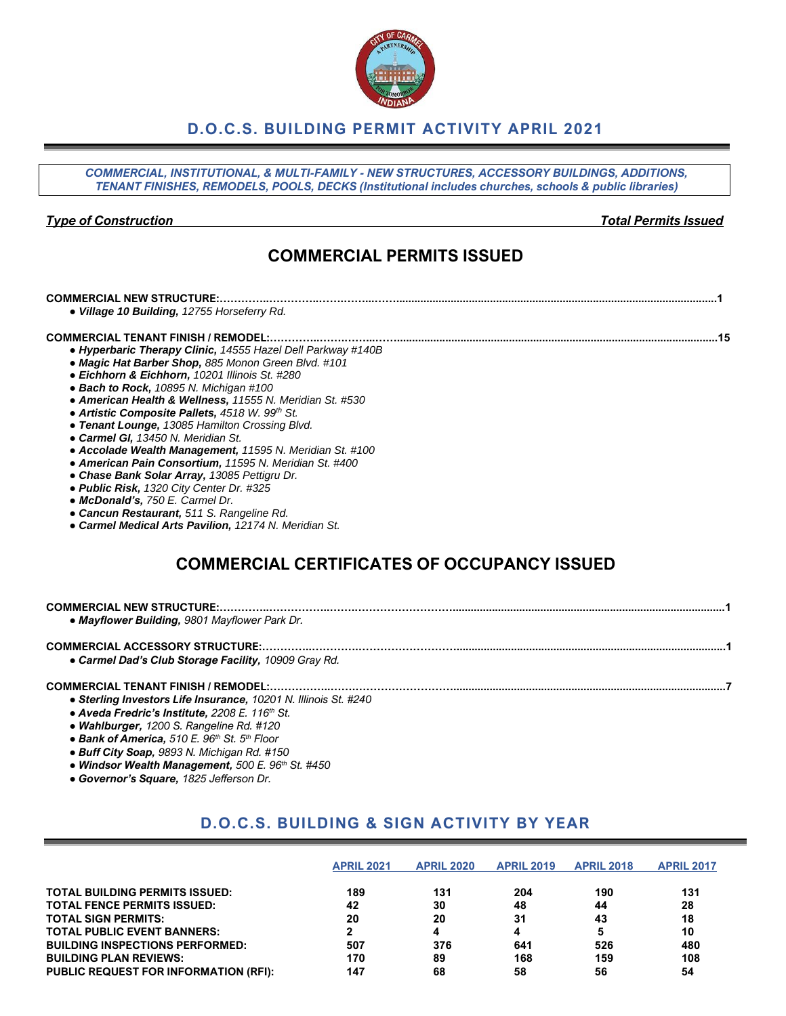# **D.O.C.S. BUILDING PERMIT ACTIVITY APRIL 2021**

*COMMERCIAL, INSTITUTIONAL, & MULTI-FAMILY - NEW STRUCTURES, ACCESSORY BUILDINGS, ADDITIONS, TENANT FINISHES, REMODELS, POOLS, DECKS (Institutional includes churches, schools & public libraries)*

### *Type of Construction Total Permits Issued*

# **COMMERCIAL PERMITS ISSUED**

| <b>COMMERCIAL NEW STRUCTURE:.</b>                                                                                                                                                                                                                                                                                                                                                                                                                                                                                                                                                                                                                                                                                                                                               |  |
|---------------------------------------------------------------------------------------------------------------------------------------------------------------------------------------------------------------------------------------------------------------------------------------------------------------------------------------------------------------------------------------------------------------------------------------------------------------------------------------------------------------------------------------------------------------------------------------------------------------------------------------------------------------------------------------------------------------------------------------------------------------------------------|--|
| · Village 10 Building, 12755 Horseferry Rd.                                                                                                                                                                                                                                                                                                                                                                                                                                                                                                                                                                                                                                                                                                                                     |  |
| • Hyperbaric Therapy Clinic, 14555 Hazel Dell Parkway #140B<br>• Magic Hat Barber Shop, 885 Monon Green Blvd. #101<br>· Eichhorn & Eichhorn, 10201 Illinois St. #280<br>• Bach to Rock, 10895 N. Michigan #100<br>• American Health & Wellness, 11555 N. Meridian St. #530<br>• Artistic Composite Pallets, 4518 W. 99th St.<br>• Tenant Lounge, 13085 Hamilton Crossing Blvd.<br>• Carmel GI, 13450 N. Meridian St.<br>• Accolade Wealth Management, 11595 N. Meridian St. #100<br>• American Pain Consortium, 11595 N. Meridian St. #400<br>• Chase Bank Solar Array, 13085 Pettigru Dr.<br>• Public Risk, 1320 City Center Dr. #325<br>• McDonald's, 750 E. Carmel Dr.<br>• Cancun Restaurant, 511 S. Rangeline Rd.<br>• Carmel Medical Arts Pavilion, 12174 N. Meridian St. |  |
| <b>COMMERCIAL CERTIFICATES OF OCCUPANCY ISSUED</b>                                                                                                                                                                                                                                                                                                                                                                                                                                                                                                                                                                                                                                                                                                                              |  |
| • Mayflower Building, 9801 Mayflower Park Dr.                                                                                                                                                                                                                                                                                                                                                                                                                                                                                                                                                                                                                                                                                                                                   |  |
| <b>COMMERCIAL ACCESSORY STRUCTURE:</b><br>• Carmel Dad's Club Storage Facility, 10909 Gray Rd.                                                                                                                                                                                                                                                                                                                                                                                                                                                                                                                                                                                                                                                                                  |  |
| <b>COMMERCIAL TENANT FINISH / REMODEL:</b><br>· Sterling Investors Life Insurance, 10201 N. Illinois St. #240<br>• Aveda Fredric's Institute, 2208 E. 116th St.                                                                                                                                                                                                                                                                                                                                                                                                                                                                                                                                                                                                                 |  |

- *● Wahlburger, 1200 S. Rangeline Rd. #120*
- *● Bank of America, 510 E. 96th St. 5th Floor*
- *● Buff City Soap, 9893 N. Michigan Rd. #150*
- *● Windsor Wealth Management, 500 E. 96th St. #450*
- *● Governor's Square, 1825 Jefferson Dr.*

# **D.O.C.S. BUILDING & SIGN ACTIVITY BY YEAR**

|                                              | <b>APRIL 2021</b> | <b>APRIL 2020</b> | <b>APRIL 2019</b> | <b>APRIL 2018</b> | <b>APRIL 2017</b> |
|----------------------------------------------|-------------------|-------------------|-------------------|-------------------|-------------------|
| <b>TOTAL BUILDING PERMITS ISSUED:</b>        | 189               | 131               | 204               | 190               | 131               |
| <b>TOTAL FENCE PERMITS ISSUED:</b>           | 42                | 30                | 48                | 44                | 28                |
| <b>TOTAL SIGN PERMITS:</b>                   | 20                | 20                | 31                | 43                | 18                |
| <b>TOTAL PUBLIC EVENT BANNERS:</b>           |                   | 4                 | 4                 |                   | 10                |
| <b>BUILDING INSPECTIONS PERFORMED:</b>       | 507               | 376               | 641               | 526               | 480               |
| <b>BUILDING PLAN REVIEWS:</b>                | 170               | 89                | 168               | 159               | 108               |
| <b>PUBLIC REQUEST FOR INFORMATION (RFI):</b> | 147               | 68                | 58                | 56                | 54                |

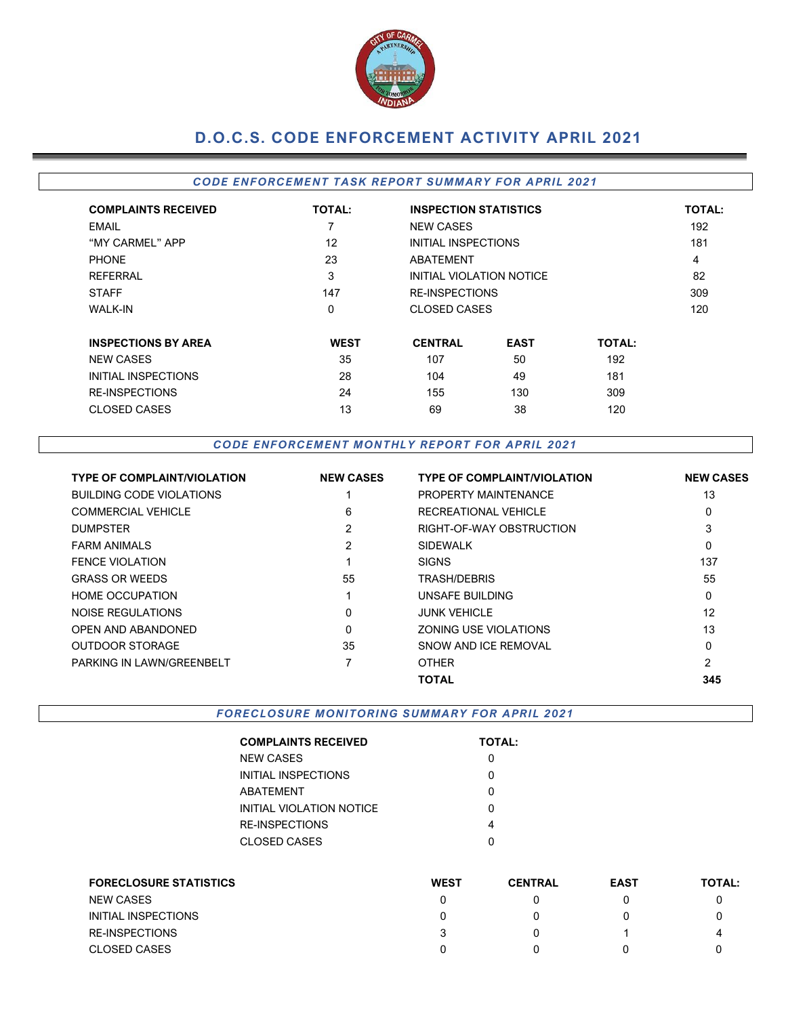

# **D.O.C.S. CODE ENFORCEMENT ACTIVITY APRIL 2021**

### *CODE ENFORCEMENT TASK REPORT SUMMARY FOR APRIL 2021*

| <b>COMPLAINTS RECEIVED</b> | <b>TOTAL:</b> | <b>INSPECTION STATISTICS</b> |                          |               | <b>TOTAL:</b> |  |  |     |
|----------------------------|---------------|------------------------------|--------------------------|---------------|---------------|--|--|-----|
| <b>EMAIL</b>               | 7             | <b>NEW CASES</b>             |                          |               | 192           |  |  |     |
| "MY CARMEL" APP            | 12            |                              | INITIAL INSPECTIONS      |               |               |  |  | 181 |
| <b>PHONE</b>               | 23            | <b>ABATEMENT</b>             |                          |               |               |  |  |     |
| <b>REFERRAL</b>            | 3             |                              | INITIAL VIOLATION NOTICE |               | 82            |  |  |     |
| <b>STAFF</b>               | 147           | <b>RE-INSPECTIONS</b>        |                          |               | 309           |  |  |     |
| <b>WALK-IN</b>             | $\Omega$      | CLOSED CASES                 |                          |               | 120           |  |  |     |
| <b>INSPECTIONS BY AREA</b> | <b>WEST</b>   | <b>CENTRAL</b>               | <b>EAST</b>              | <b>TOTAL:</b> |               |  |  |     |
| <b>NEW CASES</b>           | 35            | 107                          | 50                       | 192           |               |  |  |     |
| INITIAL INSPECTIONS        | 28            | 104                          | 49                       | 181           |               |  |  |     |
| <b>RE-INSPECTIONS</b>      | 24            | 155                          | 130                      | 309           |               |  |  |     |
| CLOSED CASES               | 13            | 69                           | 38                       | 120           |               |  |  |     |

*CODE ENFORCEMENT MONTHLY REPORT FOR APRIL 2021*

| <b>TYPE OF COMPLAINT/VIOLATION</b> | <b>NEW CASES</b> | <b>TYPE OF COMPLAINT/VIOLATION</b> | <b>NEW CASES</b> |
|------------------------------------|------------------|------------------------------------|------------------|
| <b>BUILDING CODE VIOLATIONS</b>    |                  | PROPERTY MAINTENANCE               | 13               |
| <b>COMMERCIAL VEHICLE</b>          | 6                | RECREATIONAL VEHICLE               | 0                |
| <b>DUMPSTER</b>                    | 2                | RIGHT-OF-WAY OBSTRUCTION           | 3                |
| <b>FARM ANIMALS</b>                | 2                | <b>SIDEWALK</b>                    | 0                |
| <b>FENCE VIOLATION</b>             |                  | <b>SIGNS</b>                       | 137              |
| <b>GRASS OR WEEDS</b>              | 55               | TRASH/DEBRIS                       | 55               |
| <b>HOME OCCUPATION</b>             |                  | UNSAFE BUILDING                    | 0                |
| NOISE REGULATIONS                  | 0                | <b>JUNK VEHICLE</b>                | 12               |
| OPEN AND ABANDONED                 | 0                | ZONING USE VIOLATIONS              | 13               |
| <b>OUTDOOR STORAGE</b>             | 35               | SNOW AND ICE REMOVAL               | 0                |
| <b>PARKING IN LAWN/GREENBELT</b>   |                  | <b>OTHER</b>                       | 2                |
|                                    |                  | <b>TOTAL</b>                       | 345              |

*FORECLOSURE MONITORING SUMMARY FOR APRIL 2021*

| <b>COMPLAINTS RECEIVED</b> | <b>TOTAL:</b> |
|----------------------------|---------------|
| NEW CASES                  |               |
| INITIAL INSPECTIONS        |               |
| ABATEMENT                  | ი             |
| INITIAL VIOLATION NOTICE   | ი             |
| RE-INSPECTIONS             | 4             |
| CLOSED CASES               | n             |
|                            |               |

| <b>FORECLOSURE STATISTICS</b> | <b>WEST</b> | <b>CENTRAL</b> | <b>EAST</b> | <b>TOTAL:</b> |
|-------------------------------|-------------|----------------|-------------|---------------|
| <b>NEW CASES</b>              |             |                |             |               |
| INITIAL INSPECTIONS           |             |                |             |               |
| <b>RE-INSPECTIONS</b>         |             |                |             | 4             |
| <b>CLOSED CASES</b>           |             |                |             |               |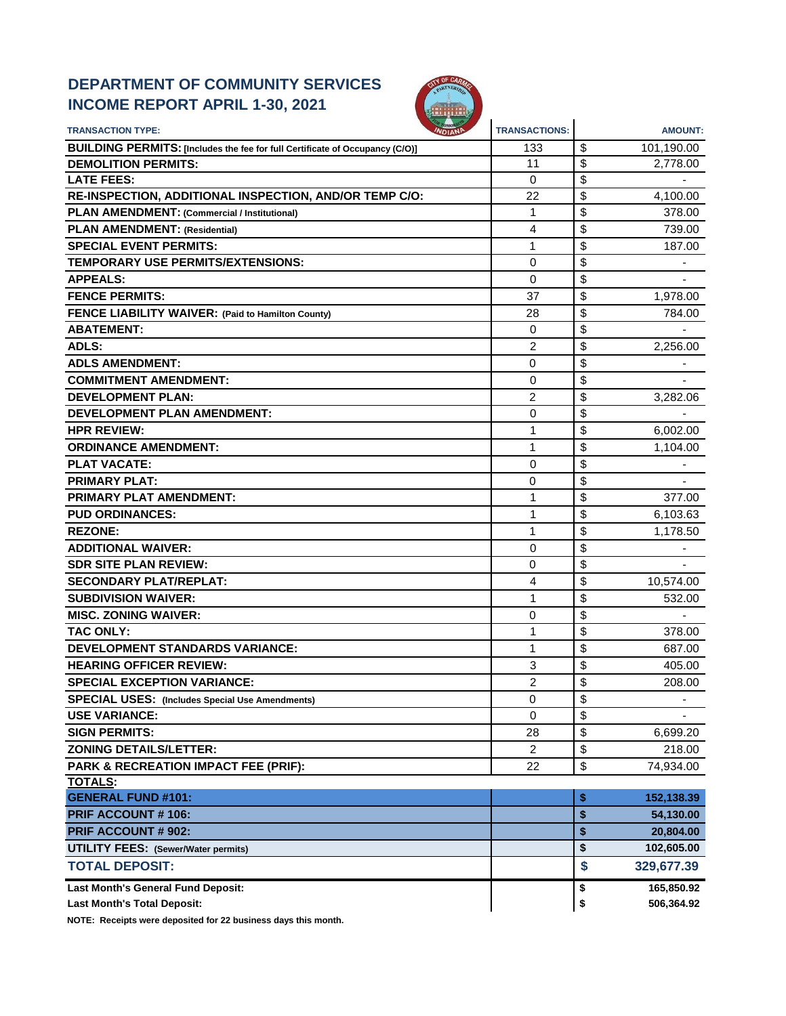# **DEPARTMENT OF COMMUNITY SERVICES INCOME REPORT APRIL 1-30, 2021**



| <b>TRANSACTION TYPE:</b>                                                     | <b>TRANSACTIONS:</b> | <b>AMOUNT:</b>                 |
|------------------------------------------------------------------------------|----------------------|--------------------------------|
| BUILDING PERMITS: [Includes the fee for full Certificate of Occupancy (C/O)] | 133                  | \$<br>101,190.00               |
| <b>DEMOLITION PERMITS:</b>                                                   | 11                   | \$<br>2,778.00                 |
| <b>LATE FEES:</b>                                                            | 0                    | \$                             |
| RE-INSPECTION, ADDITIONAL INSPECTION, AND/OR TEMP C/O:                       | 22                   | \$<br>4,100.00                 |
| PLAN AMENDMENT: (Commercial / Institutional)                                 | 1                    | \$<br>378.00                   |
| <b>PLAN AMENDMENT: (Residential)</b>                                         | 4                    | \$<br>739.00                   |
| <b>SPECIAL EVENT PERMITS:</b>                                                | 1                    | \$<br>187.00                   |
| TEMPORARY USE PERMITS/EXTENSIONS:                                            | 0                    | \$                             |
| <b>APPEALS:</b>                                                              | 0                    | \$                             |
| <b>FENCE PERMITS:</b>                                                        | 37                   | \$<br>1,978.00                 |
| FENCE LIABILITY WAIVER: (Paid to Hamilton County)                            | 28                   | \$<br>784.00                   |
| <b>ABATEMENT:</b>                                                            | 0                    | \$                             |
| <b>ADLS:</b>                                                                 | $\overline{c}$       | \$<br>2,256.00                 |
| <b>ADLS AMENDMENT:</b>                                                       | 0                    | \$                             |
| <b>COMMITMENT AMENDMENT:</b>                                                 | 0                    | \$                             |
| <b>DEVELOPMENT PLAN:</b>                                                     | 2                    | \$<br>3,282.06                 |
| <b>DEVELOPMENT PLAN AMENDMENT:</b>                                           | 0                    | \$                             |
| <b>HPR REVIEW:</b>                                                           | 1                    | \$<br>6,002.00                 |
| <b>ORDINANCE AMENDMENT:</b>                                                  | 1                    | \$<br>1,104.00                 |
| <b>PLAT VACATE:</b>                                                          | 0                    | \$                             |
| <b>PRIMARY PLAT:</b>                                                         | 0                    | \$                             |
| PRIMARY PLAT AMENDMENT:                                                      | 1                    | \$<br>377.00                   |
| <b>PUD ORDINANCES:</b>                                                       | 1                    | \$<br>6,103.63                 |
| <b>REZONE:</b>                                                               | 1                    | \$<br>1,178.50                 |
| <b>ADDITIONAL WAIVER:</b>                                                    | 0                    | \$                             |
| <b>SDR SITE PLAN REVIEW:</b>                                                 | 0                    | \$                             |
| <b>SECONDARY PLAT/REPLAT:</b>                                                | 4                    | \$<br>10,574.00                |
| <b>SUBDIVISION WAIVER:</b>                                                   | 1                    | \$<br>532.00                   |
| <b>MISC. ZONING WAIVER:</b>                                                  | 0                    | \$                             |
| <b>TAC ONLY:</b>                                                             | 1                    | \$<br>378.00                   |
| <b>DEVELOPMENT STANDARDS VARIANCE:</b>                                       | 1                    | \$<br>687.00                   |
| <b>HEARING OFFICER REVIEW:</b>                                               | 3                    | \$<br>405.00                   |
| <b>SPECIAL EXCEPTION VARIANCE:</b>                                           | 2                    | \$<br>208.00                   |
| <b>SPECIAL USES:</b> (Includes Special Use Amendments)                       | 0                    | \$<br>$\overline{\phantom{a}}$ |
| <b>USE VARIANCE:</b>                                                         | 0                    | \$                             |
| <b>SIGN PERMITS:</b>                                                         | 28                   | \$<br>6,699.20                 |
| <b>ZONING DETAILS/LETTER:</b>                                                | $\overline{2}$       | \$<br>218.00                   |
| PARK & RECREATION IMPACT FEE (PRIF):                                         | 22                   | \$<br>74,934.00                |
| <b>TOTALS:</b>                                                               |                      |                                |
| <b>GENERAL FUND #101:</b>                                                    |                      | \$<br>152,138.39               |
| <b>PRIF ACCOUNT #106:</b>                                                    |                      | \$<br>54,130.00                |
| <b>PRIF ACCOUNT # 902:</b>                                                   |                      | \$<br>20,804.00                |
| <b>UTILITY FEES: (Sewer/Water permits)</b>                                   |                      | \$<br>102,605.00               |
| <b>TOTAL DEPOSIT:</b>                                                        |                      | \$<br>329,677.39               |
| Last Month's General Fund Deposit:                                           |                      | 165,850.92<br>\$               |
| <b>Last Month's Total Deposit:</b>                                           |                      | \$<br>506,364.92               |

**NOTE: Receipts were deposited for 22 business days this month.**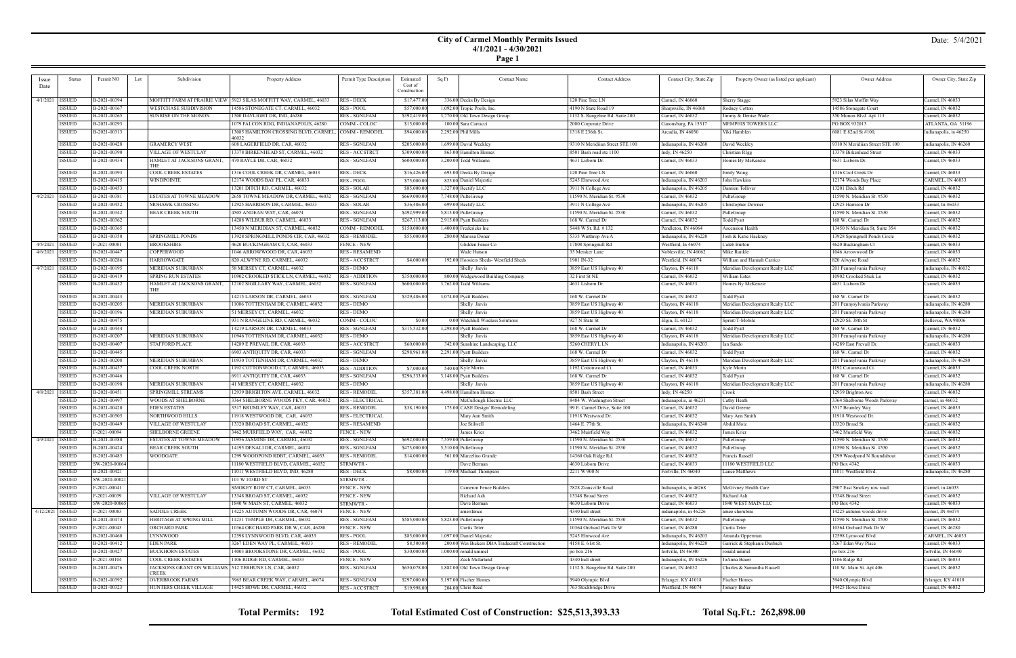## **City of Carmel Monthly Permits Issued 4/1/2021 - 4/30/2021**

|--|--|

| <i>ssue</i>       | Status        | Permit NO      | Subdivision<br>Lot                                      | Property Address                       | Permit Type Description              | Estimated<br>Cost of | Sq Ft | <b>Contact Name</b>                            | <b>Contact Address</b>                    | Contact City, State Zip | Property Owner (as listed per applicant)           | Owner Address                                | Owner City, State Zip                       |
|-------------------|---------------|----------------|---------------------------------------------------------|----------------------------------------|--------------------------------------|----------------------|-------|------------------------------------------------|-------------------------------------------|-------------------------|----------------------------------------------------|----------------------------------------------|---------------------------------------------|
| Date              |               |                |                                                         |                                        |                                      | Construction         |       |                                                |                                           |                         |                                                    |                                              |                                             |
| 4/1/2021   ISSUED |               | B-2021-00394   | MOFFITT FARM AT PRAIRIE VIEW                            | 5923 SILAS MOFFITT WAY, CARMEL, 46033  | <b>RES - DECK</b>                    | \$17,477.00          |       | 336.00 Decks By Design                         | 120 Pine Tree LN                          | Carmel, IN 46060        | Sherry Stagge                                      | 5923 Silas Moffitt Way                       | Carmel, IN 46033                            |
|                   | ISSUED        | B-2021-00167   | WESTCHASE SUBDIVISION                                   | 14586 STONEGATE CT, CARMEL, 46032      | <b>RES - POOL</b>                    | \$57,000.00          |       | 1,092.00 Tropic Pools, Inc.                    | 4190 N State Road 19                      | Sharpsville, IN 46068   | Rodney Cotton                                      | 14586 Stonegate Court                        | Carmel, IN 46032                            |
|                   | <b>ISSUED</b> | B-2021-00265   | SUNRISE ON THE MONON                                    | 1500 DAYLIGHT DR, IND, 46280           | <b>RES - SGNLFAM</b>                 | \$392,419.00         |       | 3,770.00 Old Town Design Group                 | 1132 S. Rangeline Rd. Suite 200           | Carmel, IN 46032        | Jimmy & Denise Wade                                | 350 Monon Blvd Apt 113                       | Carmel, IN 46032                            |
|                   | ISSUED        | B-2021-00293   |                                                         | 1079 FALCON RDG, INDIANAPOLIS, 46280   | COMM - COLOC                         | \$15,000.00          |       | 100.00 Sara Carracci                           | 2000 Corporate Drive                      | Canonsburg, PA 15317    | MEMPHIS TOWERS LLC                                 | PO BOX 932013                                | ATLANTA, GA 31196                           |
|                   |               |                |                                                         | 3085 HAMILTON CROSSING BLVD, CARMEL,   | COMM - REMODEI                       |                      |       |                                                | 1318 E 236th St.                          | Arcadia, IN 46030       |                                                    | 6081 E 82nd St #100,                         |                                             |
|                   | <b>ISSUED</b> | B-2021-00313   |                                                         | 46032                                  |                                      | \$94,000.00          |       | 2,292.00 Phil Mills                            |                                           |                         | Viki Hamblen                                       |                                              | Indianapolis, in 46250                      |
|                   | <b>ISSUED</b> | B-2021-00428   | GRAMERCY WEST                                           | 608 LAGERFIELD DR, CAR, 46032          | <b>RES - SGNLFAM</b>                 | \$205,000.00         |       | 1,699.00 David Weekley                         | 9310 N Meridiian Street STE 100           | Indianapolis, IN 46260  | David Weekley                                      | 9310 N Meridiian Street STE 100              | Indianapolis, IN 46260                      |
|                   | <b>ISSUED</b> | B-2021-00390   | VILLAGE OF WESTCLAY                                     | 13378 BIRKENHEAD ST, CARMEL, 46032     | RES - ACCSTRCT                       | \$309,000.00         |       | 863.00 Hamilton Homes                          | 8501 Bash road ste 1100                   | Indy, IN 46250          | Christian RIgg                                     | 13378 Birkenhead Street                      | Carmel, IN 46033                            |
|                   | <b>ISSUED</b> | B-2021-00434   | HAMLET AT JACKSONS GRANT.                               | 470 RAYLE DR, CAR, 46032               | <b>RES - SGNLFAM</b>                 | \$600,000.00         |       | 3,200.00 Todd Williams                         | 4631 Lisborn Dr.                          | Carmel, IN 46033        | Homes By McKenzie                                  | 4631 Lisborn Dr.                             | Carmel, IN 46033                            |
|                   |               |                |                                                         |                                        |                                      |                      |       |                                                |                                           |                         |                                                    |                                              |                                             |
|                   | ISSUED        | B-2021-00393   | COOL CREEK ESTATES                                      | 1316 COOL CREEK DR, CARMEL, 46033      | <b>RES - DECK</b>                    | \$16,426.00          |       | 693.00 Decks By Design                         | 120 Pine Tree LN                          | Carmel, IN 46060        | Emily Wong                                         | 1316 Cool Creek Dr                           | Carmel, IN 46033                            |
|                   | <b>ISSUED</b> | B-2021-00415   | WINDPOINTE                                              | 12174 WOODS BAY PL, CAR, 46033         | <b>RES - POOL</b>                    | \$75,000.00          |       | 825.00 Daniel Majestic                         | 5245 Elmwood Ave                          | Indianapolis, IN 46203  | John Hawkins                                       | 12174 Woods Bay Place                        | CARMEL, IN 46033                            |
|                   | ISSUED        | B-2021-00453   |                                                         | 13201 DITCH RD, CARMEL, 46032          | <b>RES - SOLAR</b>                   | \$85,000.00          |       | 1,327.00 Rectify LLC                           | 3911 N College Ave                        | Indianapolis, IN 46205  | Damion Tolliver                                    | 13201 Ditch Rd                               | Carmel, IN 46032                            |
| 4/2/2021   ISSUED |               | B-2021-00381   | ESTATES AT TOWNE MEADOW                                 | 2658 TOWNE MEADOW DR, CARMEL, 46032    | <b>RES - SGNLFAM</b>                 | \$669,000.00         |       | 7,748.00 PulteGroup                            | 11590 N. Meridian St. #530                | Carmel, IN 46032        | PulteGroup                                         | 11590 N. Meridian St. #530                   | Carmel, IN 46032                            |
|                   | <b>ISSUED</b> | B-2021-00452   | MOHAWK CROSSING                                         | 12925 HARRISON DR, CARMEL, 46033       | RES - SOLAR                          | \$36,486.00          |       | 699.00 Rectify LLC                             | 3911 N College Ave                        | Indianapolis, IN 46205  | Christopher Downer                                 | 12925 Harrison Dr                            | Carmel, In 46033                            |
|                   | <b>ISSUED</b> | B-2021-00342   | BEAR CREEK SOUTH                                        | 4505 ANDEAN WAY, CAR, 46074            | <b>RES - SGNLFAM</b>                 | \$492,999.00         |       | 5,815.00 PulteGroup                            | 11590 N. Meridian St. #530                | Carmel, IN 46032        | PulteGroup                                         | 11590 N. Meridian St. #530                   | Carmel, IN 46032                            |
|                   | <b>ISSUED</b> | B-2021-00362   |                                                         | 14288 WILBUR RD, CARMEL, 46033         | <b>RES - SGNLFAM</b>                 | \$267,113.00         |       | 2,915.00 Pyatt Builders                        | 168 W. Carmel Dr                          | Carmel, IN 46032        | Todd Pyatt                                         | 168 W. Carmel Dr                             | Carmel, IN 46032                            |
|                   | <b>ISSUED</b> | B-2021-00365   |                                                         | 13450 N MERIDIAN ST, CARMEL, 46032     | COMM - REMODEI                       | \$150,000.00         |       | 1,400.00 Fredericks Inc                        | 5448 W St. Rd. #132                       | Pendleton, IN 46064     | Ascension Health                                   | 13450 N Meridian St, Suite 354               | Carmel, IN 46032                            |
|                   | <b>ISSUED</b> | B-2021-00350   | SPRINGMILL PONDS                                        | 13928 SPRINGMILL PONDS CIR, CAR, 46032 | <b>RES - REMODEI</b>                 | \$55,000.00          |       | 280.00 Marissa Doner                           | 5335 Winthrop Ave A                       | Indianapolis, IN 46220  | Josh & Katie Hackney                               | 13928 Springmill Ponds Circle                | Carmel, IN 46032                            |
| 4/5/2021          | <b>ISSUED</b> | F-2021-00081   | BROOKSHIRE                                              | 4620 BUCKINGHAM CT, CAR, 46033         | FENCE - NEW                          |                      |       | Glidden Fence Co                               | 17808 Springmill Rd                       | Westfield, In 46074     | Caleb Burton                                       | 4620 Buckingham Ct                           | Carmel, IN 46033                            |
| 4/6/2021          | <b>ISSUED</b> | B-2021-00447   | COPPERWOOD                                              | 1046 ARROWWOOD DR, CAR, 46033          | <b>RES - RESAMEND</b>                |                      |       | Wade Hutson                                    | 33 Metsker Lane                           | Noblesville, IN 46062   | Mike Runkle                                        | 1046 Arrowwood Dr                            | Carmel, IN 46033                            |
|                   | ISSUED        | B-2021-00286   | HARROWGATE                                              | 820 ALWYNE RD, CARMEL, 46032           | RES - ACCSTRCT                       | \$4,000.00           |       | 192.00 Hoosiers Sheds- Westfield Sheds         | 1901 IN-32                                | Westfield, IN 46074     | William and Hannah Carrico                         | 820 Alwyne Road                              | Carmel, IN 46032                            |
| 4/7/2021   ISSUED |               | B-2021-00195   | MERIDIAN SUBURBAN                                       | 58 MERSEY CT, CARMEL, 46032            | <b>RES - DEMO</b>                    |                      |       | Shelly Jarvis                                  | 3859 East US Highway 40                   | Clayton, IN 46118       | Meridian Development Realty LLC                    | 201 Pennsylvania Parkway                     | Indianapolis, IN 46032                      |
|                   | ISSUED        | B-2021-00419   | <b>SPRING RUN ESTATES</b>                               | 10902 CROOKED STICK LN, CARMEL, 46032  | <b>RES - ADDITION</b>                | \$350,000.00         |       | 800.00 Wedgewood Building Company              | 32 First St NE                            | Carmel, IN 46032        | William Estes                                      | 10902 Crooked Stick Ln                       | Carmel, IN 46032                            |
|                   | <b>ISSUED</b> | B-2021-00432   | HAMLET AT JACKSONS GRANT,                               | 12102 SIGILLARY WAY, CARMEL, 46032     | <b>RES - SGNLFAM</b>                 | \$600,000.00         |       | 3,762.00 Todd Williams                         | 4631 Lisborn Dr.                          | Carmel, IN 46033        | Homes By McKenzie                                  | 4631 Lisborn Dr.                             | Carmel, IN 46033                            |
|                   | ISSUED        | B-2021-00443   | THE                                                     | 14215 LARSON DR, CARMEL, 46033         | <b>RES - SGNLFAM</b>                 | \$329,486.00         |       | 3,074.00 Pyatt Builders                        | 168 W. Carmel Dr                          | Carmel, IN 46032        | Todd Pyatt                                         | 168 W. Carmel Dr                             | Carmel, IN 46032                            |
|                   | ISSUED        | B-2021-00205   | MERIDIAN SUBURBAN                                       | 1006 TOTTENHAM DR, CARMEL, 46032       | RES - DEMO                           |                      |       | Shelly Jarvis                                  | 3859 East US Highway 40                   | Clayton, IN 46118       | Meridian Development Realty LLC                    |                                              | Indianapolis, IN 46280                      |
|                   | <b>ISSUED</b> | B-2021-00196   | MERIDIAN SUBURBAN                                       | 51 MERSEY CT, CARMEL, 46032            | RES - DEMO                           |                      |       | Shelly Jarvis                                  |                                           | Clayton, IN 46118       |                                                    | 201 Pennysylvania Parkway                    |                                             |
|                   | <b>ISSUED</b> | B-2021-00475   |                                                         |                                        |                                      |                      |       |                                                | 3859 East US Highway 40<br>927 N State St |                         | Meridian Development Realty LLC<br>Sprint/T-Mobile | 201 Pennsylvania Parkway<br>12920 SE 38th St | ndianapolis, IN 46280<br>Bellevue, WA 98006 |
|                   |               |                |                                                         | 931 N RANGELINE RD, CARMEL, 46032      | COMM - COLOC<br><b>RES - SGNLFAM</b> | \$0.00               |       | 0.00 Watchhill Wireless Solutions              |                                           | Elgin, IL 60123         |                                                    |                                              |                                             |
|                   | ISSUED        | B-2021-00444   |                                                         | 14219 LARSON DR, CARMEL, 46033         |                                      | \$315,532.00         |       | 3,298.00 Pyatt Builders                        | 168 W. Carmel Dr                          | Carmel, IN 46032        | Todd Pyatt                                         | 168 W. Carmel Dr                             | Carmel, IN 46032                            |
|                   | ISSUED        | B-2021-00207   | MERIDIAN SUBURBAN                                       | 10946 TOTTENHAM DR, CARMEL, 46032      | RES - DEMO                           |                      |       | Shelly Jarvis                                  | 3859 East US Highway 40                   | Clayton, IN 46118       | Meridian Development Realty LLC                    | 201 Pennsylvania Parkway                     | Indianapolis, IN 46280                      |
|                   | ISSUED        | B-2021-00407   | <b>STAFFORD PLACE</b>                                   | 14289 E PREVAIL DR, CAR, 46033         | RES - ACCSTRCT                       | \$60,000.00          |       | 342.00 Sunshine Landscaping, LLC               | 5260 CHERYL LN                            | Indianapolis, IN 46203  | Ian Sando                                          | 14289 East Prevail Dr.                       | Carmel, IN 46033                            |
|                   | <b>ISSUED</b> | B-2021-00445   |                                                         | 6903 ANTIQUITY DR, CAR, 46033          | <b>RES - SGNLFAM</b>                 | \$298,961.00         |       | 2,291.00 Pyatt Builders                        | 168 W. Carmel Dr                          | Carmel, IN 46032        | Todd Pyatt                                         | 168 W. Carmel Dr                             | Carmel, IN 46032                            |
|                   | <b>ISSUED</b> | B-2021-00208   | MERIDIAN SUBURBAN                                       | 10930 TOTTENHAM DR, CARMEL, 46032      | <b>RES - DEMO</b>                    |                      |       | Shelly Jarvis                                  | 3859 East US Highway 40                   | Clayton, IN 46118       | Meridian Development Realty LLC                    | 201 Pennsylvania Parkway                     | Indianapolis, IN 46280                      |
|                   | <b>ISSUED</b> | B-2021-00437   | COOL CREEK NORTH                                        | 1192 COTTONWOOD CT, CARMEL, 46033      | <b>RES - ADDITION</b>                | \$7,000.00           |       | 540.00 Kyle Morin                              | 1192 Cottonwood Ct.                       | Carmel, IN 46033        | Kyle Morin                                         | 1192 Cottonwood Ct.                          | Carmel, IN 46033                            |
|                   | ISSUED        | B-2021-00446   |                                                         | 6911 ANTIQUITY DR, CAR, 46033          | <b>RES - SGNLFAM</b>                 | \$296,333.00         |       | 3,148.00 Pyatt Builders                        | 168 W. Carmel Dr                          | Carmel, IN 46032        | Todd Pyatt                                         | 168 W. Carmel Dr                             | Carmel, IN 46032                            |
|                   | ISSUED        | B-2021-00198   | MERIDIAN SUBURBAN                                       | 41 MERSEY CT, CARMEL, 46032            | RES - DEMO                           |                      |       | Shelly Jarvis                                  | 3859 East US Highway 40                   | Clayton, IN 46118       | Meridian Development Realty LLC                    | 201 Pennsylvania Parkway                     | Indianapolis, IN 46280                      |
| 4/8/2021          | <b>ISSUED</b> | B-2021-00451   | SPRINGMILL STREAMS                                      | 12939 BRIGHTON AVE, CARMEL, 46032      | <b>RES - REMODEI</b>                 | \$357,381.00         |       | 4,498.00 Hamilton Homes                        | 8501 Bash Street                          | Indy, IN 46250          | Crook                                              | 12939 Brighton Ave                           | Carmel, IN 46032                            |
|                   | <b>ISSUED</b> | B-2021-00497   | WOODS AT SHELBORNE                                      | 3364 SHELBORNE WOODS PKY, CAR, 46032   | <b>RES - ELECTRICAL</b>              |                      |       | McCullough Electric LLC                        | 8484 W. Washington Street                 | Indianapolis, in 46231  | Cathy Heath                                        | 3364 Shelborne Woods Parkway                 | carmel, in 46032                            |
|                   | <b>ISSUED</b> | B-2021-00420   | EDEN ESTATES                                            | 3517 BRUMLEY WAY, CAR, 46033           | <b>RES - REMODEL</b>                 | \$38,190.00          |       | 175.00 CASE Design/Remodeling                  | 99 E. Carmel Drive, Suite 100             | Carmel, IN 46032        | David Greene                                       | 3517 Brumley Way                             | Carmel, IN 46033                            |
|                   | <b>ISSUED</b> | B-2021-00505   | NORTHWOOD HILLS                                         | 11918 WESTWOOD DR, CAR, 46033          | <b>RES - ELECTRICAL</b>              |                      |       | Mary Ann Smith                                 | 11918 Westwood Dr.                        | Carmel, IN 46032        | Mary Ann Smith                                     | 11918 Westwood Dr                            | Carmel, IN 46032                            |
|                   | <b>ISSUED</b> | B-2021-00449   | VILLAGE OF WESTCLAY                                     | 13320 BROAD ST, CARMEL, 46032          | <b>RES - RESAMEND</b>                |                      |       | Joe Stilwel                                    | 1464 E. 77th St.                          | Indianapolis, IN 46240  | Abdul Moiz                                         | 13320 Broad St.                              | Carmel, IN 46032                            |
|                   | <b>ISSUED</b> | F-2021-00094   | <b>SHELBORNE GREENE</b>                                 | 3462 MUIRFIELD WAY, CAR, 46032         | FENCE - NEW                          |                      |       | James Kriei                                    | 3462 Muirfield Way                        | Carmel, IN 46032        | James Krier                                        | 3462 Muirfield Way                           | Carmel, IN 46032                            |
| 4/9/2021   ISSUED |               | B-2021-00380   | <b>ESTATES AT TOWNE MEADOW</b>                          | 10956 JASMINE DR, CARMEL, 46032        | <b>RES - SGNLFAM</b>                 | \$692,000,00         |       | 7.559.00 PulteGroup                            | 11590 N. Meridian St. #530                | Carmel, IN 46032        | PulteGroup                                         | 11590 N. Meridian St. #530                   | Carmel, IN 46032                            |
|                   | ISSUED        | B-2021-00424   | <b>BEAR CREEK SOUTH</b>                                 | 14195 DENALI DR, CARMEL, 46074         | <b>RES - SGNLFAM</b>                 | \$473,000.00         |       | 5,510.00 PulteGroup                            | 11590 N. Meridian St. #530                | Carmel, IN 46032        | PulteGroup                                         | 11590 N. Meridian St. #530                   | Carmel, IN 46032                            |
|                   | <b>ISSUED</b> | B-2021-00485   | WOODGATE                                                | 1299 WOODPOND RDBT, CARMEL, 46033      | <b>RES - REMODEL</b>                 | \$14,000.00          |       | 561.00 Marcelino Grande                        | 14360 Oak Ridge Rd.                       | Carmel, IN 46032        | Francis Russell                                    | 1299 Woodpond N Roundabout                   | Carmel, IN 46033                            |
|                   | <b>ISSUED</b> | SW-2020-00064  |                                                         | 11180 WESTFIELD BLVD, CARMEL, 46032    | STRMWTR-                             |                      |       | Dave Berman                                    | 4630 Lisborn Drive                        | Carmel, IN 46033        | 11180 WESTFIELD LLC                                | PO Box 4342                                  | Carmel, IN 46033                            |
|                   | <b>ISSUED</b> | B-2021-00421   |                                                         | 11011 WESTFIELD BLVD, IND, 46280       | <b>RES-DECK</b>                      | \$8,000.00           |       | 119.00 Michael Thompson                        | 2211 W 900 N                              | Fortville, IN 46040     | <b>Lance Matthews</b>                              | 11011 Westfield Blvd.                        | Indianapolis, IN 46280                      |
|                   | <b>ISSUED</b> | SW-2020-00021  |                                                         | 101 W 103RD ST                         | STRMWTR -                            |                      |       |                                                |                                           |                         |                                                    |                                              |                                             |
|                   | <b>ISSUED</b> | $F-2021-00041$ |                                                         | SMOKEY ROW CT, CARMEL, 46033           | <b>FENCE - NEW</b>                   |                      |       | Cameron Fence Builders                         | 7828 Zionsville Road                      | Indianapolis, in 46268  | McGivney Health Care                               | 2907 East Smokey row road                    | Carmel, $\overline{in\ 46033}$              |
|                   | <b>ISSUED</b> | F-2021-00039   | VILLAGE OF WESTCLAY                                     | 13348 BROAD ST, CARMEL, 46032          | <b>FENCE - NEW</b>                   |                      |       | Richard Ash                                    | 13348 Broad Street                        | Carmel, IN 46032        | Richard Ash                                        | 13348 Broad Street                           | Carmel, IN 46032                            |
|                   | <b>ISSUED</b> | SW-2020-00065  |                                                         | 1840 W MAIN ST, CARMEL, 46032          | STRMWTR-                             |                      |       | Dave Berman                                    | 4630 Lisborn Drive                        | Carmel, IN 46033        | 1840 WEST MAIN LLC                                 | PO Box 4342                                  | Carmel, IN 46033                            |
| 4/12/2021 ISSUED  |               | F-2021-00083   | <b>SADDLE CREEK</b>                                     | 14225 AUTUMN WOODS DR, CAR, 46074      | <b>FENCE - NEW</b>                   |                      |       | amerifence                                     | 4340 hull street                          | indianapolis, in 46226  | amee cherubini                                     | 14225 autumn woods drive                     | carmel, IN 46074                            |
|                   | ISSUED        | B-2021-00474   | HERITAGE AT SPRING MILL                                 | 11231 TEMPLE DR, CARMEL, 46032         | <b>RES - SGNLFAM</b>                 | \$585,000.00         |       | 5,823.00 PulteGroup                            | 11590 N. Meridian St. #530                | Carmel, IN 46032        | PulteGroup                                         | 11590 N. Meridian St. #530                   | Carmel, IN 46032                            |
|                   | ISSUED        | F-2021-00043   | ORCHARD PARK                                            | 10364 ORCHARD PARK DR W. CAR. 46280    | <b>FENCE - NEW</b>                   |                      |       | Curtis Teter                                   | 10364 Orchard Park Dr W                   | Carmel, IN 46280        | Curtis Teter                                       | 10364 Orchard Park Dr W                      | Carmel, IN 46280                            |
|                   | ISSUED        | B-2021-00460   | LYNNWOOD                                                | 12598 LYNNWOOD BLVD, CAR, 46033        | RES - POOL                           | \$85,000.00          |       | 1,097.00 Daniel Majestic                       | 5245 Elmwood Ave                          | Indianapolis, IN 46203  | Amanda Opperman                                    | 12598 Lynwood Blvd                           | CARMEL, IN 46033                            |
|                   | ISSUED        | B-2021-00412   | EDEN PARK                                               | 3267 EDEN WAY PL, CARMEL, 46033        | <b>RES - REMODEL</b>                 | \$8,500.00           |       | 200.00 Wes Bickers DBA Tradecraft Construction | 4158 E. 61st St.                          | Indianapolis, IN 46220  | Garrick & Stephanie Dasbach                        | 3267 Eden Way Place                          | Carmel, IN 46033                            |
|                   | ISSUED        | B-2021-00427   | BUCKHORN ESTATES                                        | 14003 BROOKSTONE DR, CARMEL, 46032     | RES - POOL                           | \$30,000.00          |       | $1,000.00$ ronald ummel                        | $po$ box 216                              | fortville, IN 46040     | ronald ummel                                       | po box 216                                   | fortville, IN 46040                         |
|                   | ISSUED        | F-2021-00104   | COOL CREEK ESTATES                                      | 1106 RIDGE RD, CARMEL, 46033           | <b>FENCE - NEW</b>                   |                      |       | Zach Mcfarland                                 | 4340 hull street                          | Indianapolis, IN 46226  | JoAnna Bauer                                       | 1106 Ridge Rd                                | Carmel, IN 46033                            |
|                   | ISSUED        | B-2021-00476   | JACKSONS GRANT ON WILLIAMS   512 TERHUNE LN, CAR, 46032 |                                        | <b>RES - SGNLFAM</b>                 | \$650,078.00         |       | 3,882.00 Old Town Design Group                 | 1132 S. Rangeline Rd. Suite 200           | Carmel, IN 46032        | Charles & Samantha Russell                         | 110 W. Main St. Apt 406                      | Carmel, IN 46032                            |
|                   |               |                | CREEK                                                   |                                        |                                      |                      |       |                                                |                                           |                         |                                                    |                                              |                                             |
|                   | ISSUED        | B-2021-00392   | <b>OVERBROOK FARMS</b>                                  | 3965 BEAR CREEK WAY, CARMEL, 46074     | <b>RES - SGNLFAM</b>                 | \$297,000.00         |       | 5,197.00 Fischer Homes                         | 3940 Olympic Blvd                         | Erlanger, KY 41018      | Fischer Homes                                      | 3940 Olympic Blvd                            | Erlanger, KY 41018                          |
|                   | <b>ISSUED</b> | B-2021-00323   | HUNTERS CREEK VILLAGE                                   | 14425 HOWE DR, CARMEL, 46032           | RES - ACCSTRCT                       | \$19,998.00          |       | $204.00$ Chris Reed                            | 763 Stockbridge Drive                     | Westfield, IN 46074     | Jomary Baller                                      | 14425 Howe Drive                             | Carmel, IN 46032                            |

**Total Permits: 192 Total Estimated Cost of Construction: \$25,513,393.33 Total Sq.Ft.: 262,898.00**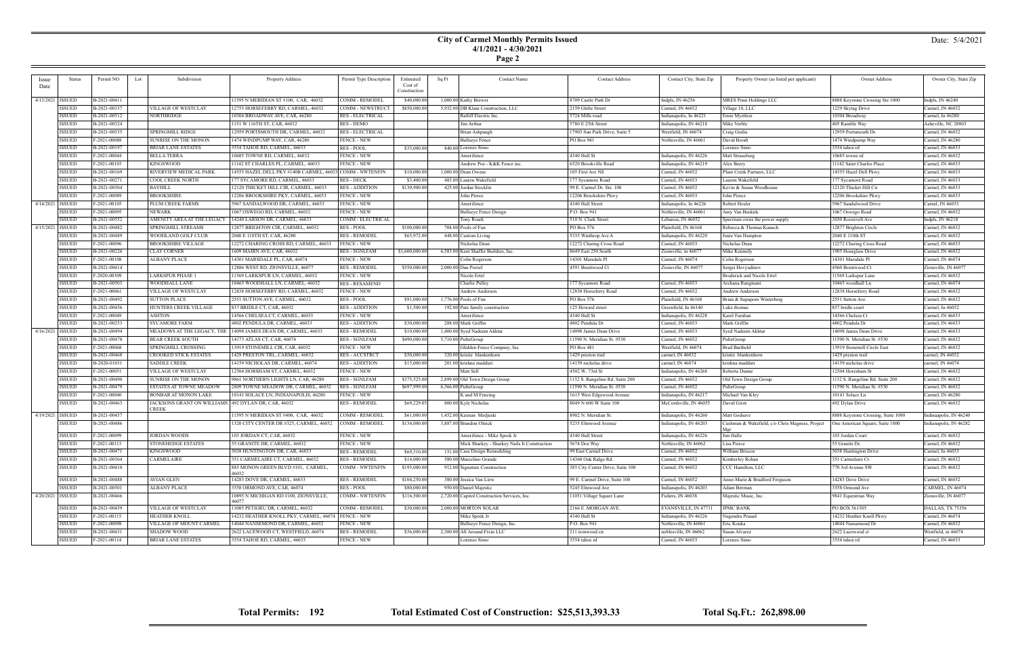### **City of Carmel Monthly Permits Issued 4/1/2021 - 4/30/2021 Page 2**

| Issue              | Status             | Permit NO<br>Lot | Subdivision                                           | Property Address                                         | Permit Type Description | Estimated      | Sq Ft | <b>Contact Name</b>                          | <b>Contact Address</b>           | Contact City, State Zip | Property Owner (as listed per applicant)        | Owner Address                      | Owner City, State Zip  |
|--------------------|--------------------|------------------|-------------------------------------------------------|----------------------------------------------------------|-------------------------|----------------|-------|----------------------------------------------|----------------------------------|-------------------------|-------------------------------------------------|------------------------------------|------------------------|
| Date               |                    |                  |                                                       |                                                          |                         | Cost of        |       |                                              |                                  |                         |                                                 |                                    |                        |
|                    |                    |                  |                                                       |                                                          |                         | Construction   |       |                                              |                                  |                         |                                                 |                                    |                        |
|                    | 4/13/2021   ISSUED | B-2021-00411     |                                                       | 1595 N MERIDIAN ST #100, CAR, 46032                      | COMM - REMODEI          | \$40,000.0     |       | 1,000.00 Kathy Brewer                        | 3709 Castle Park Dr              | Indpls, IN 46256        | <b>MRES Penn Holdings LLC</b>                   | 8888 Keystone Crossing Ste 1000    | Indpls, IN 46240       |
|                    | ISSUED             | B-2021-00337     | VILLAGE OF WESTCLAY                                   | 12755 HORSEFERRY RD, CARMEL, 46032                       | COMM - NEWSTRUCT        | \$850,000.00   |       | 5,932.00 DB Klain Construction, LLC          | 2159 Glebe Street                | Carmel, IN 46032        | Village 10, LLC                                 | 1229 Skytag Drive                  | Carmel, IN 46032       |
|                    | ISSUED             | B-2021-00512     | NORTHRIDGE                                            | 10304 BROADWAY AVE, CAR, 46280                           | <b>RES - ELECTRICAL</b> |                |       | Ratliff Electric Inc.                        | 5724 Mills road                  | Indianapolis, In 46221  | Ernie Myettesr                                  | 10304 Broadway                     | Carmel, In 46280       |
|                    | ISSUED             | B-2021-00324     |                                                       | 1151 W 116TH ST, CAR, 46032                              | RES - DEMO              |                |       | Jim Arthur                                   | 5780 E 25th Street               | Indianapolis, IN 46218  | Mike Verble                                     | 405 Ramble Way                     | Asheville, NC 28803    |
|                    | ISSUED             | B-2021-00535     | <b>SPRINGMILL RIDGE</b>                               | 12959 PORTSMOUTH DR, CARMEL, 46032                       | <b>RES - ELECTRICAL</b> |                |       | Brian Ashpaugh                               | 17903 Sun Park Drive, Suite 5    | Westfield, IN 46074     | Craig Gralia                                    | 12959 Portsmouth Dr.               | Carmel, IN 46032       |
|                    | ISSUED             | F-2021-00088     | SUNRISE ON THE MONON                                  | 1474 WINDPUMP WAY, CAR, 46280                            | <b>FENCE - NEW</b>      |                |       | <b>Bullseye Fence</b>                        | PO Box 941                       | Noblesville, IN 46061   | David Boodt                                     | 1474 Windpump Way                  | Carmel, IN 46280       |
|                    |                    |                  |                                                       |                                                          |                         |                |       |                                              |                                  |                         |                                                 |                                    |                        |
|                    | <b>ISSUED</b>      | B-2021-00197     | BRIAR LANE ESTATES                                    | 3554 TAHOE RD, CARMEL, 46033                             | <b>RES - POOL</b>       | \$35,000.00    |       | 840.00 Lorenzo Simo                          |                                  |                         | Lorenzo Simo                                    | 3554 tahoe rd                      | Carmel, IN 46033       |
|                    | ISSUED             | F-2021-00044     | BELLA TERRA                                           | 10685 TOWNE RD, CARMEL, 46032                            | <b>FENCE - NEW</b>      |                |       | Amerifence                                   | 4340 Hull St                     | Indianapolis, IN 46226  | Matt Strausburg                                 | 10685 towne rd                     | Carmel, IN 46032       |
|                    | ISSUED             | F-2021-00103     | KINGSWOOD                                             | 11142 ST CHARLES PL, CARMEL, 46033                       | <b>FENCE - NEW</b>      |                |       | Andrew Poe - K&K Fence inc                   | 6520 Brookville Road             | Indianapolis, IN 46219  | Alex Beery                                      | 11142 Saint Charles Place          | Carmel, IN 46033       |
|                    | ISSUED             | B-2021-00169     | RIVERVIEW MEDICAL PARK                                | 14555 HAZEL DELL PKY #140B CARMEL, 46033 COMM - NWTENFIN |                         | \$10,000.00    |       | $1,000.00$ Dean Owens                        | 105 First Ave NE                 | Carmel, IN 46032        | Plum Creek Partners, LLC                        | 14555 Hazel Dell Pkwy              | Carmel, IN 46033       |
|                    | ISSUED             | B-2021-00271     | COOL CREEK NORTH                                      | 177 SYCAMORE RD, CARMEL, 46033                           | RES - DECK              | \$3,400.00     |       | 483.00 Lauren Wakefield                      | 177 Sycamore Road                | Carmel, IN 46033        | Lauren Wakefield                                | 177 Sycamore Road                  | Carmel, IN 46033       |
|                    | <b>ISSUED</b>      | B-2021-00304     | <b>BAYHILL</b>                                        | 12120 THICKET HILL CIR, CARMEL, 4603.                    | <b>RES - ADDITION</b>   | \$130,900.00   |       | 425.00 Jordan Stocklin                       | 99 E. Carmel Dr. Ste. 100        | Carmel, IN 46032        | Kevin & Susan Woodhouse                         | 12120 Thicket Hill Cir             | Carmel, IN 46033       |
|                    | <b>ISSUED</b>      | F-2021-00089     | BROOKSHIRE                                            | 12206 BROOKSHIRE PKY, CARMEL, 46033                      | FENCE - NEW             |                |       | John Pierce                                  | 12206 Brookshire Pkwy            | Carmel, IN 46033        | John Pierce                                     | 12206 Brookshire Pkwy              | Carmel, IN 46033       |
| 4/14/2021   ISSUED |                    | F-2021-00105     | PLUM CREEK FARMS                                      | 5967 SANDALWOOD DR, CARMEL, 4603.                        | <b>FENCE - NEW</b>      |                |       | Amerifence                                   | 4340 Hull Street                 | Indianapolis, In 46226  | Robert Hosler                                   | 5967 Sandalwood Drive              | Carnel, IN 46033       |
|                    | ISSUED             | F-2021-00095     | NEWARK                                                | 1067 OSWEGO RD, CARMEL, 46032                            | <b>FENCE - NEW</b>      |                |       | <b>Bullseye Fence Design</b>                 | P.O. Box 941                     | Noblesville, IN 46061   | Amy Van Buskirk                                 | 1067 Oswego Road                   | Carmel, IN 46032       |
|                    | <b>ISSUED</b>      | B-2021-00552     | AMENITY AREA AT THE LEGACY                            | 14240 LARSON DR, CARMEL, 46033                           | COMM - ELECTRICAL       |                |       | Tony Roark                                   | 510 N. Clark Street              | Lebanon, IN 46052       | Spectrum owns the power supply                  | 3030 Roosevelt Ave                 | Indpls, IN 46218       |
| 4/15/2021   ISSUED |                    | B-2021-00482     | SPRINGMILL STREAMS                                    | 12877 BRIGHTON CIR, CARMEL, 46032                        | <b>RES - POOL</b>       | \$100,000.00   |       | 704.00 Pools of Fun                          | PO Box 576                       | Plainfield, IN 46168    | Rebecca & Thomas Kanach                         |                                    | Carmel, IN 46032       |
|                    | ISSUED             | B-2021-00489     | WOODLAND GOLF CLUB                                    | 2040 E 110TH ST, CAR, 46280                              | <b>RES - REMODEI</b>    |                |       | 448.00 Custom Living                         |                                  |                         |                                                 | 12877 Brighton Circle              | Carmel, IN 46032       |
|                    |                    |                  |                                                       |                                                          |                         | \$65,972.00    |       |                                              | 5335 Winthrop Ave A              | Indianapolis, IN 46220  | Jenie Van Hampton                               | 2040 E 110th ST                    |                        |
|                    | ISSUED             | F-2021-00096     | BROOKSHIRE VILLAGE                                    | 12272 CHARING CROSS RD, CARMEL, 46033                    | <b>FENCE - NEW</b>      |                |       | Nicholas Dean                                | 12272 Charing Cross Road         | Carmel, IN 46033        | Nicholas Dean                                   | 12272 Charing Cross Road           | Carmel, IN 46033       |
|                    | ISSUED             | B-2021-00226     | CLAY CORNER                                           | 1609 MAIRN AVE, CAR, 46032                               | <b>RES - SGNLFAM</b>    | \$1,600,000.00 |       | 6,583.00 Kent Shaffer Builders, Inc.         | 8649 East 250 South              | Zionsville, in 46077    | Mike Kennedy                                    | 1905 Hourglass Drive               | Carmel, IN 46032       |
|                    | ISSUED             | F-2021-00108     | ALBANY PLACE                                          | 14301 MARSDALE PL, CAR, 46074                            | <b>FENCE - NEW</b>      |                |       | Colin Rogerson                               | 14301 Marsdale Pl                | Carmel, IN 46074        | Colin Rogerson                                  | 14301 Marsdale Pl                  | Carmel, IN 46074       |
|                    | <b>ISSUED</b>      | B-2021-00414     |                                                       | 12886 WEST RD, ZIONSVILLE, 46077                         | <b>RES - REMODEI</b>    | \$350,000.00   |       | 2,000.00 Dan Porzel                          | 4591 Brentwood Ct                | Zionsville, IN 46077    | Sergei Hovyadinov                               | 4560 Brentwood Ct                  | Zionsville, IN 46077   |
|                    | ISSUED             | F-2020-00309     | <b>LARKSPUR PHASE 1</b>                               | 1569 LARKSPUR LN, CARMEL, 46032                          | <b>FENCE - NEW</b>      |                |       | Nicole Ertel                                 |                                  |                         | <b>Broderick and Nicole Ertel</b>               | 11569 Larkspur Lane                | Carmel, IN 46032       |
|                    | ISSUED             | B-2021-00503     | WOODHALL LANE                                         | 0465 WOODHALL LN, CARMEL, 46032                          | <b>RES-RESAMEND</b>     |                |       | Charlie Pulley                               | 177 Sycamore Road                | Carmel, IN 46033        | Archana Ranginan                                | 10465 woodhall Ln                  | Carmel, IN 46074       |
|                    | ISSUED             | F-2021-00061     | VILLAGE OF WESTCLAY                                   | 12838 HORSEFERRY RD, CARMEL, 46032                       | <b>FENCE - NEW</b>      |                |       | Andrew Anderson                              | 12838 Horseferry Road            | Carmel, IN 46032        | Andrew Anderson                                 | 12838 Horseferry Road              | Carmel, IN 46032       |
|                    | ISSUED             | B-2021-00492     | <b>SUTTON PLACE</b>                                   | 2551 SUTTON AVE, CARMEL, 46032                           | <b>RES - POOL</b>       | \$91,000.00    |       | 1,776.00 Pools of Fun                        | PO Box 576                       | Plainfield, IN 46168    | Brian & Supaporn Winterberg                     | 2551 Sutton Ave.                   | Carmel, IN 46032       |
|                    | <b>ISSUED</b>      | B-2021-00456     | HUNTERS CREEK VILLAGE                                 | 837 BRIDLE CT, CAR, 46032                                | <b>RES - ADDITION</b>   | \$1,500.00     |       | 192.00 Pate family construction              | 125 Howard street                | Greenfield, In 46140    | Luke thomas                                     | 837 bridle court                   | Carmel, In 46032       |
|                    | <b>ISSUED</b>      | F-2021-00049     | ASHTON                                                | 14566 CHELSEA CT, CARMEL, 46033                          | <b>FENCE - NEW</b>      |                |       | Amerifence                                   | 4340 Hull St                     | Indianapolis, IN 46228  | Karel Farahan                                   | 14566 Chelsea Ct                   | Carmel, IN 46033       |
|                    | <b>ISSUED</b>      | B-2021-00253     | SYCAMORE FARM                                         | 4802 PENDULA DR, CARMEL, 46033                           | <b>RES - ADDITION</b>   | \$30,000.00    |       | 288.00 Mark Griffin                          | 4802 Pendula Dr                  | Carmel, IN 46033        | Mark Griffin                                    | 4802 Pendula Dr                    | Carmel, IN 46033       |
|                    |                    |                  |                                                       |                                                          |                         |                |       |                                              |                                  |                         |                                                 |                                    |                        |
| 4/16/2021   ISSUED |                    | B-2021-00494     | MEADOWS AT THE LEGACY, THE                            | 14098 JAMES DEAN DR, CARMEL, 46033                       | <b>RES - REMODEI</b>    | \$10,000.00    |       | 1,400.00 Syed Nadeem Akhtar                  | 14098 James Dean Drive           | Carmel, IN 46033        | Syed Nadeem Akhtar                              | 14098 James Dean Drive             | Carmel, IN 46033       |
|                    | ISSUED             | B-2021-00478     | BEAR CREEK SOUTH                                      | 14173 ATLAS CT, CAR, 46074                               | <b>RES - SGNLFAM</b>    | \$490,000.00   |       | 5,710.00 PulteGroup                          | 11590 N. Meridian St. #530       | Carmel, IN 46032        | PulteGroup                                      | 11590 N. Meridian St. #530         | Carmel, IN 46032       |
|                    | ISSUED             | F-2021-00068     | SPRINGMILL CROSSING                                   | 13919 STONEMILL CIR, CAR, 46032                          | <b>FENCE - NEW</b>      |                |       | Glidden Fence Company, Inc                   | PO Box 481                       | Westfield, IN 46074     | <b>Brad Bartheld</b>                            | 13919 Stonemill Circle East        | Carmel, IN 46032       |
|                    | ISSUED             | B-2021-00468     | CROOKED STICK ESTATES                                 | 1429 PRESTON TRL, CARMEL, 46032                          | <b>RES-ACCSTRCT</b>     | \$50,000.00    |       | 320.00 kristie blankenhorn                   | 1429 preston trail               | carmel, IN 46032        | kristie blankenhorn                             | 1429 preston trail                 | carmel, IN 46032       |
|                    | ISSUED             | B-2020-01031     | <b>SADDLE CREEK</b>                                   | 14159 NICHOLAS DR, CARMEL, 46074                         | <b>RES - ADDITION</b>   | \$15,000.00    |       | 201.00 krishna madduri                       | 14159 nicholas drive             | carmel, IN 46074        | krishna maddur                                  | 14159 nicholas drive               | carmel, IN 46074       |
|                    | ISSUED             | F-2021-00051     | VILLAGE OF WESTCLAY                                   | 12504 HORSHAM ST, CARMEL, 46032                          | <b>FENCE - NEW</b>      |                |       | Matt Sell                                    | 4502 W. 73rd St                  | Indianapolis, IN 46268  | Roberta Dunne                                   | 12504 Horesham St                  | Carmel, IN 46032       |
|                    | ISSUED             | B-2021-00490     | SUNRISE ON THE MONON                                  | 9861 NORTHERN LIGHTS LN, CAR, 46280                      | <b>RES - SGNLFAM</b>    | \$375,525.00   |       | 2,899.00 Old Town Design Group               | 1132 S. Rangeline Rd. Suite 200  | Carmel, IN 46032        | Old Town Design Group                           | 1132 S. Rangeline Rd. Suite 200    | Carmel, IN 46032       |
|                    | <b>ISSUED</b>      | B-2021-00479     | ESTATES AT TOWNE MEADOW                               | 2809 TOWNE MEADOW DR, CARMEL, 46032                      | <b>RES - SGNLFAM</b>    | \$697,999.00   |       | 6,366.00 PulteGroup                          | 1590 N. Meridian St. #530        | Carmel, IN 46032        | PulteGroup                                      | 11590 N. Meridian St. #530         | Carmel, IN 46032       |
|                    | <b>ISSUED</b>      | F-2021-00040     | BONBAR AT MONON LAKE                                  | 0141 SOLACE LN, INDIANAPOLIS, 46280                      | <b>FENCE - NEW</b>      |                |       | K and M Fencing                              | 1615 West Edgewood Avenue        | Indianapolis, IN 46217  | Michael Van Kley                                | 10141 Solace Ln                    | Carmel, IN 46280       |
|                    | <b>ISSUED</b>      | B-2021-00463     | JACKSONS GRANT ON WILLIAMS   492 DYLAN DR, CAR, 46032 |                                                          | <b>RES - REMODEL</b>    | \$69,229.05    |       | 800.00 Kyle Nicholas                         | 8049 N 600 W Suite 100           | McCordsville, IN 46055  | David Girot                                     | 492 Dylan Drive                    | Carmel, IN 46032       |
|                    |                    |                  | CREEK                                                 |                                                          |                         |                |       |                                              |                                  |                         |                                                 |                                    |                        |
| 4/19/2021   ISSUED |                    | B-2021-00457     |                                                       | 11595 N MERIDIAN ST #400, CAR, 46032                     | COMM - REMODE           | \$61,000.00    |       | 1,452.00 Keenan Medjeski                     | 8902 N. Meridian St.             | Indianapolis, IN 46260  | Matt Godsave                                    | 8888 Keystone Crossing, Suite 1000 | Indinaapolis, IN 46240 |
|                    | ISSUED             | B-2021-00486     |                                                       | 1320 CITY CENTER DR #325, CARMEL, 46032                  | COMM - REMODEL          | \$134,000.00   |       | 3,887.00 Brandon Olnick                      | 5235 Elmwood Avenue              | Indianapolis, IN 46203  | Cushman & Wakefield, c/o Chris Magness, Project | One American Square, Suite 1800    | Indianapolis, IN 46282 |
|                    |                    |                  |                                                       |                                                          |                         |                |       |                                              |                                  |                         |                                                 |                                    |                        |
|                    | ISSUED             | F-2021-00099     | <b>JORDAN WOODS</b>                                   | 103 JORDAN CT, CAR, 46032                                | <b>FENCE - NEW</b>      |                |       | Amerifence - Mike Speek Jr                   | 4340 Hull Street                 | Indianapolis, IN 46226  | Jim Halle                                       | 103 Jordan Court                   | Carmel, IN 46032       |
|                    | ISSUED             | F-2021-00113     | <b>STONEHEDGE ESTATES</b>                             | 55 GRANITE DR, CARMEL, 46032                             | <b>FENCE - NEW</b>      |                |       | Mick Sharkey - Sharkey Nails It Construction | 5674 Doe Way                     | Noblesville, IN 46062   | Lisa Pierce                                     | 55 Granite Dr.                     | Carmel, IN 46032       |
|                    | ISSUED             | B-2021-00471     | KINGSWOOD                                             | 5038 HUNTINGTON DR, CAR, 46033                           | <b>RES - REMODEL</b>    | \$69,310.00    |       | 151.00 Case Design Remodeling                | 99 East Carmel Drive             | Carmel, IN 46032        | William Briscoe                                 | 5038 Huntington Drive              | Carmel, In 46033       |
|                    | <b>ISSUED</b>      | B-2021-00364     | CARMELAIRE                                            | 351 CARMELAIRE CT, CARMEL, 46032                         | <b>RES - REMODEL</b>    | \$14,000.00    |       | 580.00 Marcelino Grande                      | 14360 Oak Ridge Rd.              | Carmel, IN 46032        | Kimberley Rohan                                 | 351 Carmelaire Ct.                 | Carmel, IN 46032       |
|                    | ISSUED             | B-2021-00410     |                                                       | 885 MONON GREEN BLVD #101, CARMEL                        | <b>COMM - NWTENFIN</b>  | \$195,000.00   |       | 912.00 Signature Construction                | 385 City Center Drive, Suite 100 | Carmel, IN 46032        | CCC Hamilton, LLC                               | 770 3rd Avenue SW                  | Carmel, IN 46032       |
|                    |                    |                  |                                                       | 46032                                                    |                         |                |       |                                              |                                  |                         |                                                 |                                    |                        |
|                    | <b>ISSUED</b>      | B-2021-00488     | AVIAN GLEN                                            | 14283 DOVE DR, CARMEL, 46033                             | <b>RES - REMODEL</b>    | \$104,250.00   |       | 380.00 Jessica Van Liew                      | 99 E. Carmel Drive, Suite 100    | Carmel, IN 46032        | Anne-Marie & Bradford Ferguson                  | 14283 Dove Drive                   | Carmel, IN 46032       |
|                    | <b>ISSUED</b>      | B-2021-00501     | ALBANY PLACE                                          | 3558 ORMOND AVE, CAR, 46074                              | RES - POOL              | \$80,000.00    |       | 950.00 Daniel Majestic                       | 5245 Elmwood Ave                 | Indianapolis, IN 46203  | Adam Berman                                     | 3558 Ormond Ave                    | CARMEL, IN 46074       |
|                    | 4/20/2021   ISSUED | B-2021-00466     |                                                       | 0895 N MICHIGAN RD #100, ZIONSVILLE,                     | <b>COMM - NWTENFIN</b>  | \$116,500.00   |       | 2,720.00 Capitol Construction Services, Inc. | 11051 Village Square Lane        | Fishers, IN 46038       | Majestic Music, Inc.                            | 9841 Equestrian Way                | Zionsville, IN 46077   |
|                    |                    |                  |                                                       | 46077                                                    |                         | \$30,000.00    |       | 2,000.00 MORTON SOLAR                        | 2166 E. MORGAN AVE.              |                         |                                                 |                                    |                        |
|                    | ISSUED             | B-2021-00459     | <b>VILLAGE OF WESTCLAY</b>                            | 13085 PETIGRU DR, CARMEL, 46032                          | COMM - REMODEL          |                |       |                                              |                                  | EVANSVILLE, IN 47711    | <b>JPMC BANK</b>                                | PO BOX 561305                      | DALLAS, TX 75356       |
|                    | ISSUED             | F-2021-00115     | HEATHER KNOLL                                         | 14232 HEATHER KNOLL PKY, CARMEL, 46074   FENCE - NEW     |                         |                |       | Mike Speek Jr                                | 4340 Hull St                     | Indianapolis, IN 46226  | Nagendra Prasad                                 | 14232 Heather Knoll Pkwy           | Carmel, IN 46074       |
|                    | <b>ISSUED</b>      | F-2021-00098     | VILLAGE OF MOUNT CARMEL                               | 14044 NANSEMOND DR, CARMEL, 46032                        | <b>FENCE - NEW</b>      |                |       | Bullseye Fence Design, Inc.                  | P.O. Box 941                     | Noblesville, IN 46061   | Eric Kouka                                      | 14044 Nansemond Dr                 | Carmel, IN 46032       |
|                    | <b>ISSUED</b>      | B-2021-00431     | SHADOW WOOD                                           | 2622 LACEWOOD CT, WESTFIELD, 46074                       | <b>RES - REMODEL</b>    | \$36,000.00    |       | 2,300.00 All Around Fixin LLC                | 211 ironwood cir                 | noblesville, IN 46062   | Susan Alvarez                                   | 2622 Lacewood ct                   | Westfield, in 46074    |
|                    | <b>ISSUED</b>      | F-2021-00114     | BRIAR LANE ESTATES                                    | 3554 TAHOE RD, CARMEL, 46033                             | <b>FENCE - NEW</b>      |                |       | Lorenzo Simo                                 | 3554 tahoe rd                    | Carmel, IN 46033        | Lorenzo Simo                                    | 3554 tahoe rd                      | Carmel, IN 46033       |

## Date: 5/4/2021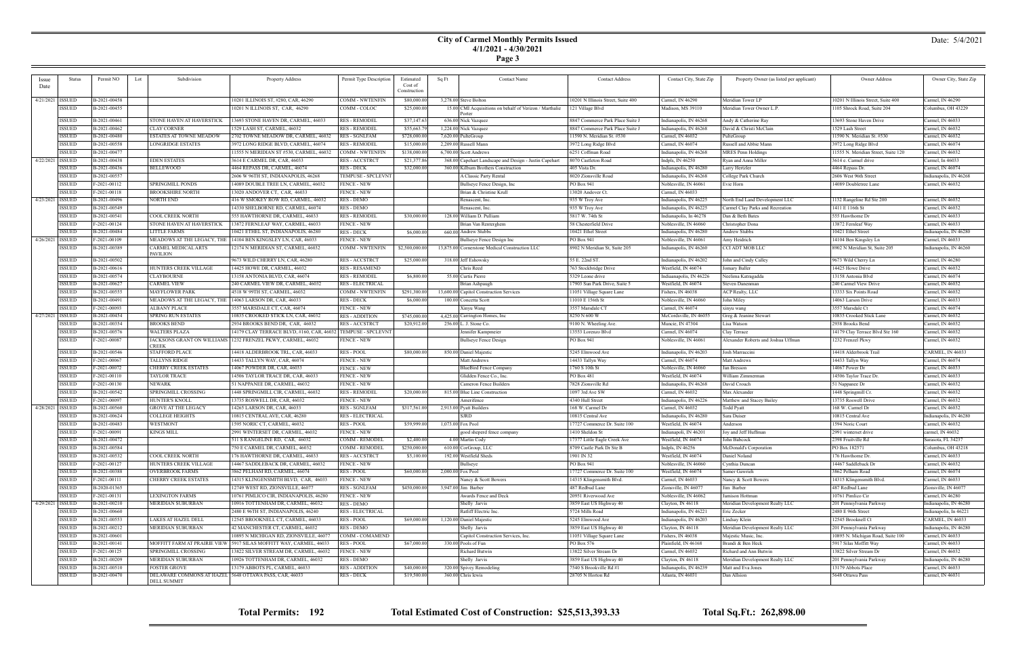## **City of Carmel Monthly Permits Issued 4/1/2021 - 4/30/2021**

| Page |  |
|------|--|
|      |  |

| <i>ssue</i>        | Status        | Permit NO    | Subdivision<br>Lot                                     | Property Address                          | Permit Type Description   | Estimated      | Sq Ft | <b>Contact Name</b>                                     | <b>Contact Address</b>             | Contact City, State Zip | Property Owner (as listed per applicant) | Owner Address                       | Owner City, State Zip  |
|--------------------|---------------|--------------|--------------------------------------------------------|-------------------------------------------|---------------------------|----------------|-------|---------------------------------------------------------|------------------------------------|-------------------------|------------------------------------------|-------------------------------------|------------------------|
| Date               |               |              |                                                        |                                           |                           | Cost of        |       |                                                         |                                    |                         |                                          |                                     |                        |
|                    |               |              |                                                        |                                           |                           | Construction   |       |                                                         |                                    |                         |                                          |                                     |                        |
| 4/21/2021   ISSUED |               | B-2021-00458 |                                                        | 10201 ILLINOIS ST, #280, CAR, 46290       | COMM - NWTENFIN           | \$80,000.00    |       | 3,278.00 Steve Bolton                                   | 10201 N Illinois Street, Suite 400 | Carmel, IN 46290        | Meridian Tower LP                        | 10201 N Illinois Street, Suite 400  | Carmel, IN $46290$     |
|                    | <b>ISSUED</b> | B-2021-00455 |                                                        | 10201 N ILLINOIS ST, CAR, 46290           | COMM - COLOC              | \$25,000.00    |       | 15.00 CMI Acquisitions on behalf of Verizon / Marthalie | 121 Village Blvd                   | Madison, MS 39110       | Meridian Tower Owner L.P.                | 1105 Shrock Road, Suite 204         | Columbus, OH 43229     |
|                    |               |              |                                                        |                                           |                           |                |       | Porter                                                  |                                    |                         |                                          |                                     |                        |
|                    | <b>ISSUED</b> | B-2021-00461 | STONE HAVEN AT HAVERSTICK                              | 13693 STONE HAVEN DR, CARMEL, 46033       | <b>RES - REMODEI</b>      | \$37,147.63    |       | 636.00 Nick Vazquez                                     | 8847 Commerce Park Place Suite J   | Indianapolis, IN 46268  | Andy & Catherine Ray                     | 13693 Stone Haven Drive             | Carmel, IN 46033       |
|                    | <b>ISSUED</b> | B-2021-00462 | <b>CLAY CORNER</b>                                     | 1529 LASH ST, CARMEL, 46032               | <b>RES - REMODEL</b>      | \$55,663.7     |       | 1,224.00 Nick Vazquez                                   | 8847 Commerce Park Place Suite J   | Indianapolis, IN 46268  | David & Christi McClain                  | 1529 Lash Street                    | Carmel, IN 46032       |
|                    | <b>ISSUED</b> | B-2021-00480 | ESTATES AT TOWNE MEADOW                                | 2702 TOWNE MEADOW DR, CARMEL, 46032       | <b>RES - SGNLFAM</b>      | \$728,000.00   |       | 7,620.00 PulteGroup                                     | 11590 N. Meridian St. #530         | Carmel, IN 46032        | PulteGroup                               | 11590 N. Meridian St. #530          | Carmel, IN 46032       |
|                    | <b>ISSUED</b> | B-2021-00558 | LONGRIDGE ESTATES                                      | 3972 LONG RIDGE BLVD, CARMEL, 46074       | RES - REMODEI             | \$15,000.00    |       | 2,209.00 Russell Mann                                   | 3972 Long Ridge Blvd               | Carmel, IN 46074        | Russell and Abbie Mann                   | 3972 Long Ridge Blvd                | Carmel, IN 46074       |
|                    | <b>ISSUED</b> | B-2021-0047  |                                                        | 11555 N MERIDIAN ST #530, CARMEL, 46032   | COMM - NWTENFIN           | \$138,000.00   |       | 6,700.00 Scott Andrews                                  | 6251 Coffman Road                  | Indianapolis, IN 46268  | <b>MRES Penn Holdings</b>                | 11555 N. Meridian Street, Suite 120 | Carmel, IN 46032       |
| 4/22/2021 ISSUED   |               | B-2021-00438 | <b>EDEN ESTATES</b>                                    | 3614 E CARMEL DR, CAR, 46033              | RES - ACCSTRCT            | \$21,377.86    |       | 368.00 Capehart Landscape and Design - Justin Capehart  | 8070 Castleton Road                | Indpls, IN 46250        | Ryan and Anna Miller                     | 3614 e. Carmel drive                | Carmel, In 46033       |
|                    | <b>ISSUED</b> | B-2021-00436 | BELLEWOOD                                              | 4464 REPASS DR, CARMEL, 46074             | RES - DECK                | \$32,000.00    |       | 360.00 Kilburn Brothers Construction                    | 405 Vista Dr.                      | Indianapolis, IN 46280  | Larry Hertzler                           | 4464 Repass Dr.                     | Carmel, IN 46074       |
|                    | <b>ISSUED</b> | B-2021-00557 |                                                        | 2606 W 96TH ST, INDIANAPOLIS, 46268       | <b>FEMPUSE - SPCLEVNT</b> |                |       | A Classic Party Rental                                  | 8020 Zionsville Road               | Indianapolis, IN 46268  | College Park Church                      | 2606 West 96th Street               | ndianapolis, IN 46268  |
|                    | <b>ISSUED</b> | F-2021-00112 | <b>SPRINGMILL PONDS</b>                                | 4089 DOUBLE TREE LN, CARMEL, 46032        | FENCE - NEW               |                |       | Bullseye Fence Design, Inc                              | PO Box 941                         | Noblesville, IN 46061   | Evie Horn                                | 14089 Doubletree Lane               | Carmel, IN 46032       |
|                    | <b>ISSUED</b> | F-2021-00118 | BROOKSHIRE NORTH                                       | 13020 ANDOVER CT, CAR, 46033              | <b>FENCE - NEW</b>        |                |       | Brian & Christine Krull                                 | 13020 Andover Ct                   | Carmel, IN 46033        |                                          |                                     |                        |
| 4/23/2021   ISSUED |               | B-2021-00496 | NORTH END                                              | 416 W SMOKEY ROW RD, CARMEL, 4603.        | RES - DEMO                |                |       | Renascent, Inc.                                         | 935 W Troy Ave                     | Indianapolis, IN 46225  | North End Land Development LLC           | 1132 Rangeline Rd Ste 200           | Carmel, IN 46032       |
|                    | <b>ISSUED</b> | B-2021-00549 |                                                        | 14330 SHELBORNE RD, CARMEL, 46074         | RES - DEMO                |                |       | Renascent, Inc.                                         | 935 W Troy Ave                     | Indianapolis, IN 46225  | Carmel Clay Parks and Recreation         | 1411 E 116th St                     | Carmel, IN 46032       |
|                    | <b>ISSUED</b> | B-2021-00541 | COOL CREEK NORTH                                       | 555 HAWTHORNE DR, CARMEL, 46033           | RES - REMODEI             | \$30,000.00    |       | 128.00 William D. Pulliam                               | 5817 W. 74th St                    | Indianapolis, In 46278  | Dan & Beth Bates                         | 555 Hawthorne Dr                    | Carmel, IN 46033       |
|                    | <b>ISSUED</b> | F-2021-00124 | STONE HAVEN AT HAVERSTICK                              | 13872 FERNLEAF WAY, CARMEL, 46033         | FENCE - NEW               |                |       | Brian Van Renterghem                                    | 58 Chesterfield Drive              | Noblesville, IN 46060   | Christopher Dona                         | 13872 Fernleaf Way                  | Carmel, IN 46033       |
|                    | <b>ISSUED</b> | B-2021-00484 | LITTLE FARMS                                           | 10421 ETHEL ST, INDIANAPOLIS, 46280       | <b>RES - DECK</b>         | \$6,000.00     |       | 660.00 Andrew Stubbs                                    | 10421 Ethel Street                 | Indianapolis, IN 46280  | Andrew Stubbs                            | 10421 Ethel Street                  | Indianapolis, IN 46280 |
| 4/26/2021   ISSUED |               | F-2021-00109 | MEADOWS AT THE LEGACY, THE                             | 14104 BEN KINGSLEY LN, CAR, 46033         | <b>FENCE - NEW</b>        |                |       | Bullseye Fence Design Inc                               | PO Box 941                         | Noblesville, IN 46061   | Amy Heidrich                             | 14104 Ben Kingsley Ln               | Carmel, IN 46033       |
|                    | <b>ISSUED</b> | B-2021-00389 | CARMEL MEDICAL ARTS                                    | 12174 N MERIDIAN ST, CARMEL, 46032        | COMM - NWTENFIN           | \$2,500,000.00 |       | 13,875.00 Cornerstone Medical Construction LLC          | 8902 N Meridian St, Suite 205      | Indianapolis, IN 46260  | CCI ADT MOB LLC                          | 8902 N Meridian St, Suite 205       | Indianapolis, IN 46260 |
|                    |               |              | PAVILION                                               |                                           |                           |                |       |                                                         |                                    |                         |                                          |                                     |                        |
|                    | <b>ISSUED</b> | B-2021-00502 |                                                        | 9673 WILD CHERRY LN, CAR, 46280           | <b>RES-ACCSTRCT</b>       | \$25,000.00    |       | 318.00 Jeff Eshowsky                                    | 55 E. 22nd ST.                     | Indianapolis, IN 46202  | John and Cindy Calley                    | 9673 Wild Cherry Ln                 | Carmel, IN 46280       |
|                    | <b>ISSUED</b> | B-2021-00616 | HUNTERS CREEK VILLAGE                                  | 14425 HOWE DR, CARMEL, 46032              | <b>RES - RESAMEND</b>     |                |       | Chris Reed                                              | 763 Stockbridge Drive              | Westfield, IN 46074     | Jomary Baller                            | 14425 Howe Drive                    | Carmel, IN 46032       |
|                    | <b>ISSUED</b> | B-2021-00574 | CLAYBOURNE                                             | 13158 ANTONIA BLVD, CAR, 46074            | <b>RES - REMODEL</b>      | \$6,800.00     |       | 55.00 Curtis Pierre                                     | 5329 Leone drive                   | Indiaanapolis, IN 46226 | Neelima Katragadda                       | 13158 Antonia Blvd                  | Carmel, IN 46074       |
|                    | <b>ISSUED</b> | B-2021-00627 | CARMEL VIEW                                            | 240 CARMEL VIEW DR, CARMEL, 46032         | <b>RES - ELECTRICAL</b>   |                |       | Brian Ashpaugh                                          | 17903 Sun Park Drive, Suite 5      | Westfield, IN 46074     | Steven Danenman                          | 240 Carmel View Drive               | Carmel, IN 46032       |
|                    | <b>ISSUED</b> | B-2021-00555 | MAYFLOWER PARK                                         | 4518 W 99TH ST, CARMEL, 46032             | COMM - NWTENFIN           | \$291,300.00   |       | 13,600.00 Capitol Construction Services                 | 11051 Village Square Lane          | Fishers, IN 46038       | <b>ACP Realty, LLC</b>                   | 13333 Six Points Road               | Carmel, IN 46032       |
|                    | <b>ISSUED</b> | B-2021-00491 | MEADOWS AT THE LEGACY, THE                             | 14063 LARSON DR, CAR, 46033               | RES - DECK                | \$6,000.00     |       | 100.00 Concetta Scott                                   | 11010 E 156th St                   | Noblesville, IN 46060   | John Miley                               | 14063 Larson Drive                  | Carmel, IN 46033       |
|                    | <b>ISSUED</b> | F-2021-00093 | ALBANY PLACE                                           | 3557 MARSDALE CT, CAR, 46074              | FENCE - NEW               |                |       | Xinyu Wang                                              | 3557 Marsdale CT                   | Carmel, IN 46074        | xinyu wang                               | 3557 Marsdale Ct                    | Carmel, IN 46074       |
| 4/27/2021   ISSUED |               | B-2021-00454 | SPRING RUN ESTATES                                     | 10835 CROOKED STICK LN, CAR, 46032        | <b>RES - ADDITION</b>     | \$745,000.00   |       | 4,425.00 Carrington Homes, Inc                          | 8250 N 600 W                       | McCordsville, IN 46055  | Greg & Jeanine Stewart                   | 10835 Crooked Stick Lane            | Carmel, IN 46032       |
|                    | <b>ISSUED</b> | B-2021-00354 | BROOKS BEND                                            | 2934 BROOKS BEND DR, CAR, 46032           | RES - ACCSTRCT            | \$20,912.00    |       | 256.00 L. J. Stone Co.                                  | 9100 N. Wheeling Ave.              | Muncie, IN 47304        | Lisa Watson                              | 2938 Brooks Bend                    | Carmel, IN 46032       |
|                    | <b>ISSUED</b> | B-2021-00576 | WALTERS PLAZA                                          | 14179 CLAY TERRACE BLVD, #160, CAR, 46032 | TEMPUSE - SPCLEVN'        |                |       | Jennifer Kampmeier                                      | 13553 Lorenzo Blvd                 | Carmel, IN 46074        | Clay Terrace                             | 14179 Clay Terrace Blvd Ste 160     | Carmel, IN 46032       |
|                    | <b>ISSUED</b> | F-2021-00087 | <b>IACKSONS GRANT ON WILLIAMS</b>                      | 1232 FRENZEL PKWY, CARMEL, 46032          | <b>FENCE - NEW</b>        |                |       | Bullseye Fence Design                                   | PO Box 941                         | Noblesville, IN 46061   | Alexander Roberts and Joshua Uffman      | 1232 Frenzel Pkwy                   | Carmel, IN 46032       |
|                    |               |              | <b>CREEK</b>                                           |                                           |                           |                |       |                                                         |                                    |                         |                                          |                                     |                        |
|                    | <b>ISSUED</b> | B-2021-00546 | STAFFORD PLACE                                         | 14418 ALDERBROOK TRL, CAR, 46033          | <b>RES - POOL</b>         | \$80,000.00    |       | 850.00 Daniel Majestic                                  | 5245 Elmwood Ave                   | Indianapolis, IN 46203  | Josh Marraccini                          | 14418 Alderbrook Trail              | CARMEL, IN 46033       |
|                    | <b>ISSUED</b> | F-2021-00067 | <b>TALLYNS RIDGE</b>                                   | 14433 TALLYN WAY, CAR, 46074              | FENCE - NEW               |                |       | Matt Andrews                                            | 14433 Tallyn Way                   | Carmel, IN 46074        | Matt Andrews                             | 14433 Tallyn Way                    | Carmel, IN 46074       |
|                    | <b>ISSUED</b> | F-2021-00072 | CHERRY CREEK ESTATES                                   | 14067 POWDER DR, CAR, 46033               | <b>FENCE - NEW</b>        |                |       | BlueBird Fence Company                                  | 1760 S 10th St                     | Noblesville, IN 46060   | Jan Bresson                              | 14067 Power Dr                      | Carmel, IN 46033       |
|                    | <b>ISSUED</b> | F-2021-00110 | <b>TAYLOR TRACE</b>                                    | 14506 TAYLOR TRACE DR, CAR, 46033         | <b>FENCE - NEW</b>        |                |       | Glidden Fence Co., Inc.                                 | PO Box 481                         | Westfield, IN 46074     | William Zimmerman                        | 14506 Taylor Trace Dr.              | Carmel, IN 46033       |
|                    | <b>ISSUED</b> | F-2021-00130 | NEWARK                                                 | 51 NAPPANEE DR, CARMEL, 46032             | <b>FENCE - NEW</b>        |                |       | Cameron Fence Builders                                  | 7828 Zionsville Rd                 | Indianapolis, IN 46268  | David Crouch                             | 51 Nappanee Dr                      | Carmel, IN 46032       |
|                    | <b>ISSUED</b> | B-2021-00542 | SPRINGMILL CROSSING                                    | 1448 SPRINGMILL CIR, CARMEL, 46032        | <b>RES - REMODEI</b>      | \$20,000.00    |       | 815.00 Blue Line Construction                           | 1097 3rd Ave SW                    | Carmel, IN 46032        | Max Alexander                            | 1448 Springmill Cr.                 | Carmel, IN 46032       |
|                    | <b>ISSUED</b> | F-2021-00097 | HUNTER'S KNOLI                                         | 13735 ROSWELL DR, CAR, 46032              | <b>FENCE - NEW</b>        |                |       | Amerifence                                              | 4340 Hull Street                   | Indianapolis, IN 46226  | Matthew and Stacey Bailey                | 13735 Roswell Drive                 | Carmel, IN 46032       |
| 4/28/2021   ISSUED |               | B-2021-00560 | GROVE AT THE LEGACY                                    | 14265 LARSON DR, CAR, 46033               | RES - SGNLFAM             | \$317,561.00   |       | 2,913.00 Pyatt Builders                                 | 168 W. Carmel Dr                   | Carmel, IN 46032        | Todd Pyatt                               | 168 W. Carmel Dr                    | Carmel, IN 46032       |
|                    | <b>ISSUED</b> | B-2021-00624 | COLLEGE HEIGHTS                                        | 10815 CENTRAL AVE, CAR, 46280             | <b>RES - ELECTRICAL</b>   |                |       | SJRD                                                    | 10815 Central Ave                  | Indianapolis, IN 46280  | Sara Duiser                              | 10815 Central Ave                   | Indianapolis, IN 46280 |
|                    | <b>ISSUED</b> | B-2021-00483 | WESTMONT                                               | 1595 NORIC CT, CARMEL, 46032              | RES - POOL                | \$59,999.00    |       | 1,073.00 Fox Pool                                       | 17727 Commerce Dr. Suite 100       | Westfield, IN 46074     | Anderson                                 | 1594 Noric Court                    | Carmel, IN 46032       |
|                    | <b>ISSUED</b> | F-2021-00091 | KINGS MILL                                             | 2991 WINTERSET DR, CARMEL, 46032          | <b>FENCE - NEW</b>        |                |       | good sheperd fence company                              | 1410 Sheldon St                    | Indianapoli, IN 46201   | Joy and Jeff Huffman                     | 2991 winterset drive                | carmel, IN 46032       |
|                    | <b>ISSUED</b> | B-2021-00472 |                                                        | 511 S RANGELINE RD, CAR, 46032            | COMM - REMODEL            | \$2,400.00     |       | 4.00 Martin Cody                                        | 17377 Little Eagle Creek Ave       | Westfield, IN 46074     | John Babcock                             | 2398 Fruitville Rd                  | Sarasota, FL 3423.     |
|                    | <b>ISSUED</b> | B-2021-00584 |                                                        | 750 E CARMEL DR, CARMEL, 46032            | COMM - REMODEL            | \$250,000.00   |       | 610.00 CorGroup, LLC                                    | 8709 Castle Park Dr Ste B          | Indpls, IN 46256        | McDonald's Corporation                   | PO Box 182571                       | Columbus, OH 43218     |
|                    | <b>ISSUED</b> | B-2021-00532 | <b>COOL CREEK NORTH</b>                                | 176 HAWTHORNE DR, CARMEL, 46033           | <b>RES-ACCSTRCT</b>       | \$5,100.00     |       | 192.00 Westfield Sheds                                  | 1901 IN 32                         | Westfield, IN 46074     | Daniel Noland                            | 176 Hawthorne Dr.                   | Carmel, IN 46033       |
|                    | <b>ISSUED</b> | F-2021-00127 | HUNTERS CREEK VILLAGE                                  | 14467 SADDLEBACK DR, CARMEL, 46032        | <b>FENCE - NEW</b>        |                |       | Bullseye                                                | PO Box 941                         | Noblesville, IN 46060   | Cynthia Duncan                           | 14467 Saddleback Dr                 | Carmel, IN 46032       |
|                    | <b>ISSUED</b> | B-2021-00388 | <b>OVERBROOK FARMS</b>                                 | 3862 PELHAM RD, CARMEL, 46074             | RES - POOL                | \$60,000.00    |       | 2,000.00 Fox Pool                                       | 17727 Commerce Dr. Suite 100       | Westfield, IN 46074     | Samer Gawrieh                            | 3862 Pelham Road                    | Carmel, IN 46074       |
|                    | <b>ISSUED</b> | F-2021-00111 | CHERRY CREEK ESTATES                                   | 14315 KLINGENSMITH BLVD, CAR, 46033       | <b>FENCE - NEW</b>        |                |       | Vancy & Scott Bowers                                    | 14315 Klingensmith Blvd.           | Carmel, IN 46033        | Nancy & Scott Bowers                     | 14315 Klingensmith Blvd.            | Carmel, IN 46033       |
|                    | <b>ISSUED</b> | B-2020-01365 |                                                        | 12749 WEST RD, ZIONSVILLE, 46077          | RES - SGNLFAM             | \$450,000.00   |       | 3,947.00 Jim Barber                                     | 487 Redbud Lane                    | Zionsville, IN 46077    | Jim Barber                               | 487 Redbud Lane                     | Zionsville, IN 46077   |
|                    | <b>ISSUED</b> | F-2021-00131 | LEXINGTON FARMS                                        | 10761 PIMLICO CIR, INDIANAPOLIS, 46280    | FENCE - NEW               |                |       | Awards Fence and Deck                                   | 20951 Riverwood Ave                | Noblesville, IN 46062   | Jamison Hottman                          | 10761 Pimlico Cir                   | Carmel, IN 46280       |
| 4/29/2021 ISSUED   |               | B-2021-00210 | MERIDIAN SUBURBAN                                      | 10916 TOTTENHAM DR, CARMEL, 46032         | RES - DEMO                |                |       | Shelly Jarvis                                           | 3859 East US Highway 40            | Clayton, IN 46118       | Meridian Development Realty LLC          | 201 Pennsylvania Parkway            | ndianapolis, IN 46280  |
|                    | <b>ISSUED</b> | B-2021-00660 |                                                        | 2480 E 96TH ST, INDIANAPOLIS, 46240       | RES - ELECTRICAL          |                |       | Ratliff Electric Inc.                                   | 5724 Mills Road                    | Indianapolis, IN 46221  | Eric Zecker                              | 2480 E 96th Street                  | Indianapolis, In 46221 |
|                    | <b>ISSUED</b> | B-2021-00553 | LAKES AT HAZEL DELL                                    | 12545 BROOKNELL CT, CARMEL, 46033         | <b>RES-POOL</b>           | \$69,000.00    |       | 1,120.00 Daniel Majestic                                | 5245 Elmwood Ave                   | Indianapolis, IN 46203  | Lindsay Klein                            | 12545 Brooknell Ct                  | CARMEL, IN 46033       |
|                    | <b>ISSUED</b> | B-2021-00212 | MERIDIAN SUBURBAN                                      | 42 MANCHESTER CT, CARMEL, 46032           | RES - DEMO                |                |       | Shelly Jarvis                                           | 3859 East US Highway 40            | Clayton, IN 46118       | Meridian Development Realty LLC          | 201 Pennsylvania Parkway            | ndianapolis, IN 46280  |
|                    | <b>ISSUED</b> | B-2021-00601 |                                                        | 10895 N MICHIGAN RD, ZIONSVILLE, 46077    | COMM - COMAMEND           |                |       | Capitol Construction Services, Inc.                     | 11051 Village Square Lane          | Fishers, IN 46038       | Majestic Music, Inc.                     | 10895 N. Michigan Road, Suite 100   | Carmel, IN 46033       |
|                    | <b>ISSUED</b> | B-2021-00141 | MOFFITT FARM AT PRAIRIE VIEW                           | 5917 SILAS MOFFITT WAY, CARMEL, 46033     | RES - POOL                | \$67,000.00    |       | 330.00 Pools of Fun                                     | PO Box 576                         | Plainfield, IN 46168    | Brandi & Ben Heck                        | 5917 Silas Moffitt Way              | Carmel, IN 46033       |
|                    | <b>ISSUED</b> | F-2021-00125 | SPRINGMILL CROSSING                                    | 13822 SILVER STREAM DR, CARMEL, 46032     | FENCE - NEW               |                |       | Richard Butwin                                          | 13822 Silver Stream Dr             | Carmel, IN 46032        | Richard and Ann Butwin                   | 13822 Silver Stream Dr              | Carmel, IN 46032       |
|                    | <b>ISSUED</b> | B-2021-00209 | <b>MERIDIAN SUBURBAN</b>                               | 10926 TOTTENHAM DR, CARMEL, 46032         | RES - DEMO                |                |       | Shelly Jarvis                                           | 3859 East US Highway 40            | Clayton, IN 46118       | Meridian Development Realty LLC          | 201 Pennsylvania Parkway            | ndianapolis, IN 46280  |
|                    | <b>ISSUED</b> | B-2021-00510 | FOSTER GROVE                                           | 3179 ABBOTS PL, CARMEL, 46033             | <b>RES - ADDITION</b>     | \$40,000.00    |       | 320.00 Spivey Remodeling                                | 7540 S Brookville Rd #1            | Indianapolis, IN 46239  | Matt and Eva Jones                       | 13179 Abbots Place                  | Carmel, IN 46033       |
|                    | <b>ISSUED</b> | B-2021-00470 | DELAWARE COMMONS AT HAZEL 5648 OTTAWA PASS, CAR, 46033 |                                           | RES - DECK                | \$19,500.00    |       | 360.00 Chris lewis                                      | 28705 N Horton Rd                  | Atlanta, IN 46031       | Dan Allsion                              | 5648 Ottawa Pass                    | Carmel, IN 46031       |
|                    |               |              | <b>DELL SUMMIT</b>                                     |                                           |                           |                |       |                                                         |                                    |                         |                                          |                                     |                        |

**Total Permits: 192 Total Estimated Cost of Construction: \$25,513,393.33 Total Sq.Ft.: 262,898.00**